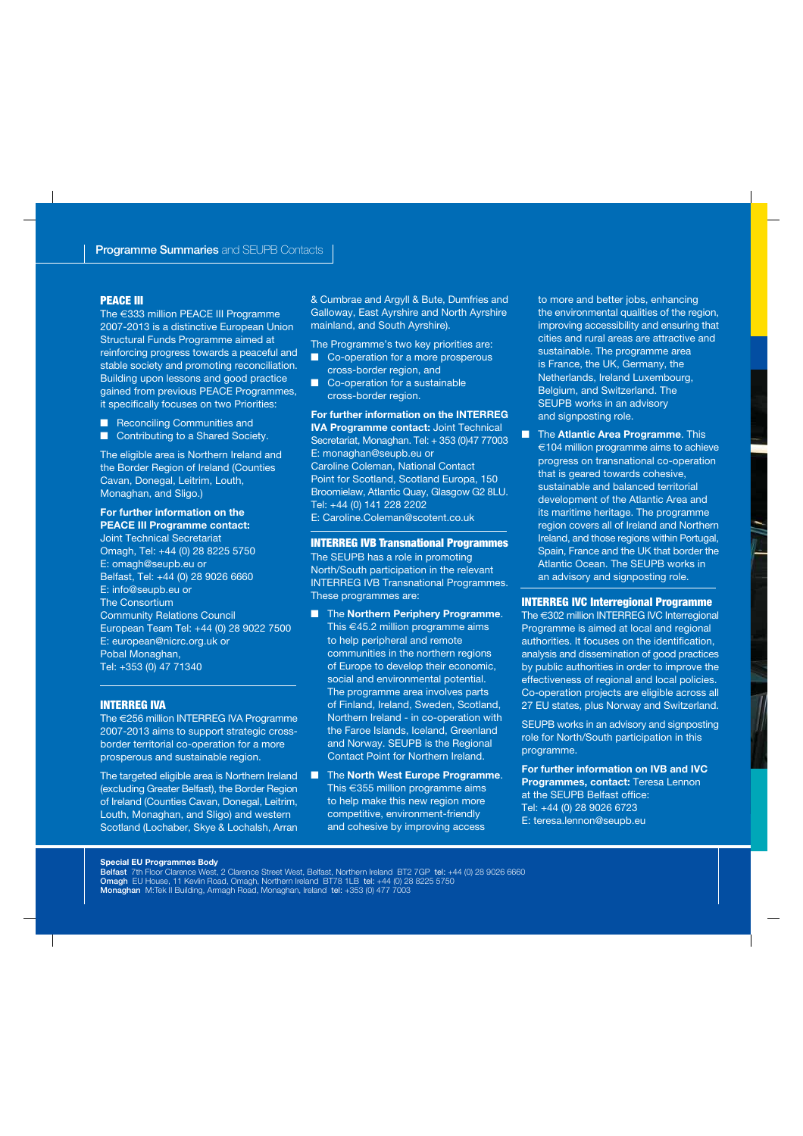#### **PEACE III**

The €333 million PEACE III Programme 2007-2013 is a distinctive European Union Structural Funds Programme aimed at reinforcing progress towards a peaceful and stable society and promoting reconciliation. Building upon lessons and good practice gained from previous PEACE Programmes, it specifically focuses on two Priorities:

- Reconciling Communities and
- Contributing to a Shared Society.

The eligible area is Northern Ireland and the Border Region of Ireland (Counties Cavan, Donegal, Leitrim, Louth, Monaghan, and Sligo.)

#### **For further information on the PEACE III Programme contact:**

Joint Technical Secretariat Omagh, Tel: +44 (0) 28 8225 5750 E: omagh@seupb.eu or Belfast, Tel: +44 (0) 28 9026 6660 E: info@seupb.eu or The Consortium Community Relations Council European Team Tel: +44 (0) 28 9022 7500 E: european@nicrc.org.uk or Pobal Monaghan, Tel: +353 (0) 47 71340

#### **INTERREG IVA**

The €256 million INTERREG IVA Programme 2007-2013 aims to support strategic crossborder territorial co-operation for a more prosperous and sustainable region.

The targeted eligible area is Northern Ireland (excluding Greater Belfast), the Border Region of Ireland (Counties Cavan, Donegal, Leitrim, Louth, Monaghan, and Sligo) and western Scotland (Lochaber, Skye & Lochalsh, Arran

& Cumbrae and Argyll & Bute, Dumfries and Galloway, East Ayrshire and North Ayrshire mainland, and South Ayrshire).

The Programme's two key priorities are:

- Co-operation for a more prosperous cross-border region, and
- Co-operation for a sustainable cross-border region.

**For further information on the INTERREG IVA Programme contact:** Joint Technical Secretariat, Monaghan. Tel: + 353 (0)47 77003 E: monaghan@seupb.eu or Caroline Coleman, National Contact Point for Scotland, Scotland Europa, 150 Broomielaw, Atlantic Quay, Glasgow G2 8LU. Tel: +44 (0) 141 228 2202 E: Caroline.Coleman@scotent.co.uk

#### **INTERREG IVB Transnational Programmes**

The SEUPB has a role in promoting North/South participation in the relevant INTERREG IVB Transnational Programmes. These programmes are:

■ The **Northern Periphery Programme**. This  $\in$  45.2 million programme aims to help peripheral and remote communities in the northern regions of Europe to develop their economic, social and environmental potential. The programme area involves parts of Finland, Ireland, Sweden, Scotland, Northern Ireland - in co-operation with the Faroe Islands, Iceland, Greenland and Norway. SEUPB is the Regional Contact Point for Northern Ireland.

■ The **North West Europe Programme**. This €355 million programme aims to help make this new region more competitive, environment-friendly and cohesive by improving access

to more and better jobs, enhancing the environmental qualities of the region, improving accessibility and ensuring that cities and rural areas are attractive and sustainable. The programme area is France, the UK, Germany, the Netherlands, Ireland Luxembourg, Belgium, and Switzerland. The SEUPB works in an advisory and signposting role.

■ The **Atlantic Area Programme**. This €104 million programme aims to achieve progress on transnational co-operation that is geared towards cohesive. sustainable and balanced territorial development of the Atlantic Area and its maritime heritage. The programme region covers all of Ireland and Northern Ireland, and those regions within Portugal, Spain, France and the UK that border the Atlantic Ocean. The SEUPB works in an advisory and signposting role.

#### **INTERREG IVC Interregional Programme**

The €302 million INTERREG IVC Interregional Programme is aimed at local and regional authorities. It focuses on the identification, analysis and dissemination of good practices by public authorities in order to improve the effectiveness of regional and local policies. Co-operation projects are eligible across all 27 EU states, plus Norway and Switzerland.

SEUPB works in an advisory and signposting role for North/South participation in this programme.

**For further information on IVB and IVC Programmes, contact:** Teresa Lennon at the SEUPB Belfast office: Tel: +44 (0) 28 9026 6723 E: teresa.lennon@seupb.eu

#### **Special EU Programmes Body**

Belfast 7th Floor Clarence West, 2 Clarence Street West, Belfast, Northern Ireland BT2 7GP tel: +44 (0) 28 9026 6660 Omagh EU House, 11 Kevlin Road, Omagh, Northern Ireland BT78 1LB tel: +44 (0) 28 8225 5750 Monaghan M:Tek II Building, Armagh Road, Monaghan, Ireland tel: +353 (0) 477 7003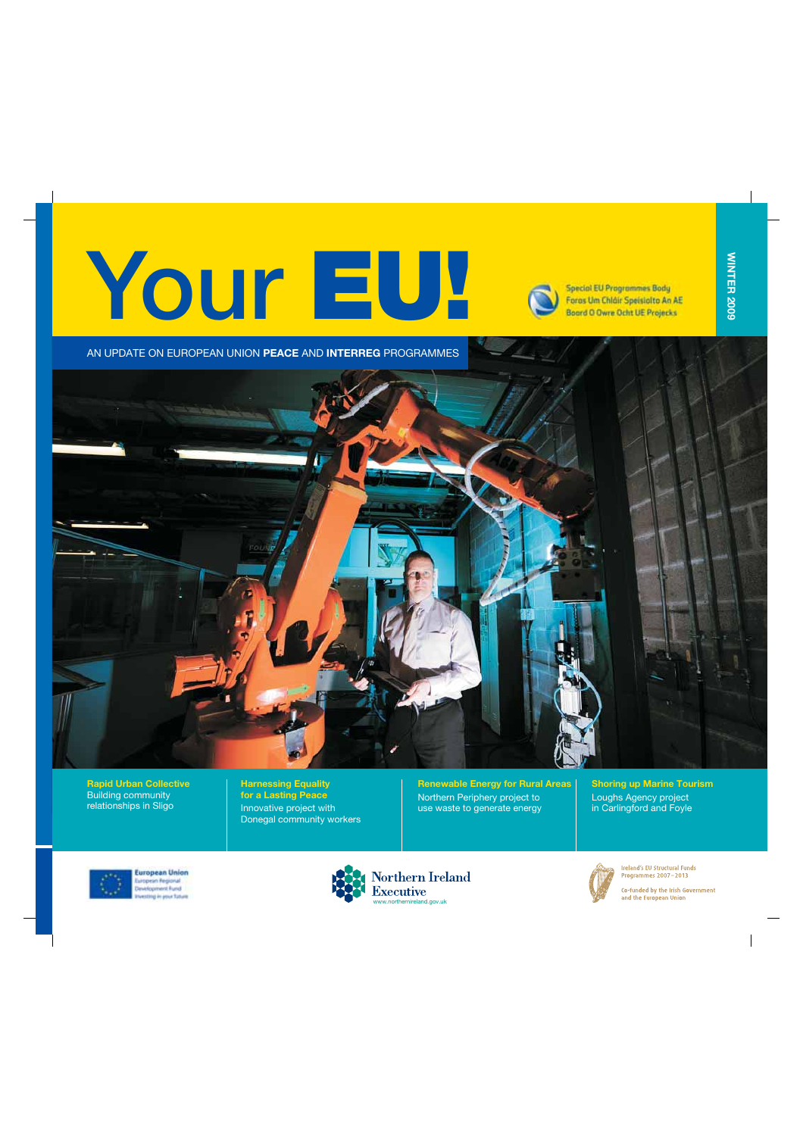# Your **EU!**



**Special EU Programmes Body** Foras Um Chláir Speisiolto An AE Boord O Owre Ocht UE Projecks

**WINTER 2009**

**WINTER 2009** 

AN UPDATE ON EUROPEAN UNION **PEACE** AND **INTERREG** PROGRAMMES



**Rapid Urban Collective** Building community relationships in Sligo

**Harnessing Equality for a Lasting Peace** Innovative project with Donegal community workers **Renewable Energy for Rural Areas** Northern Periphery project to use waste to generate energy

**Shoring up Marine Tourism** Loughs Agency project in Carlingford and Foyle



**Luropean Union Uropean Regional** elopment Fund westing in your future





Ireland's EU Structural Funds Programmes 2007-2013

Co-funded by the Irish Government and the European Union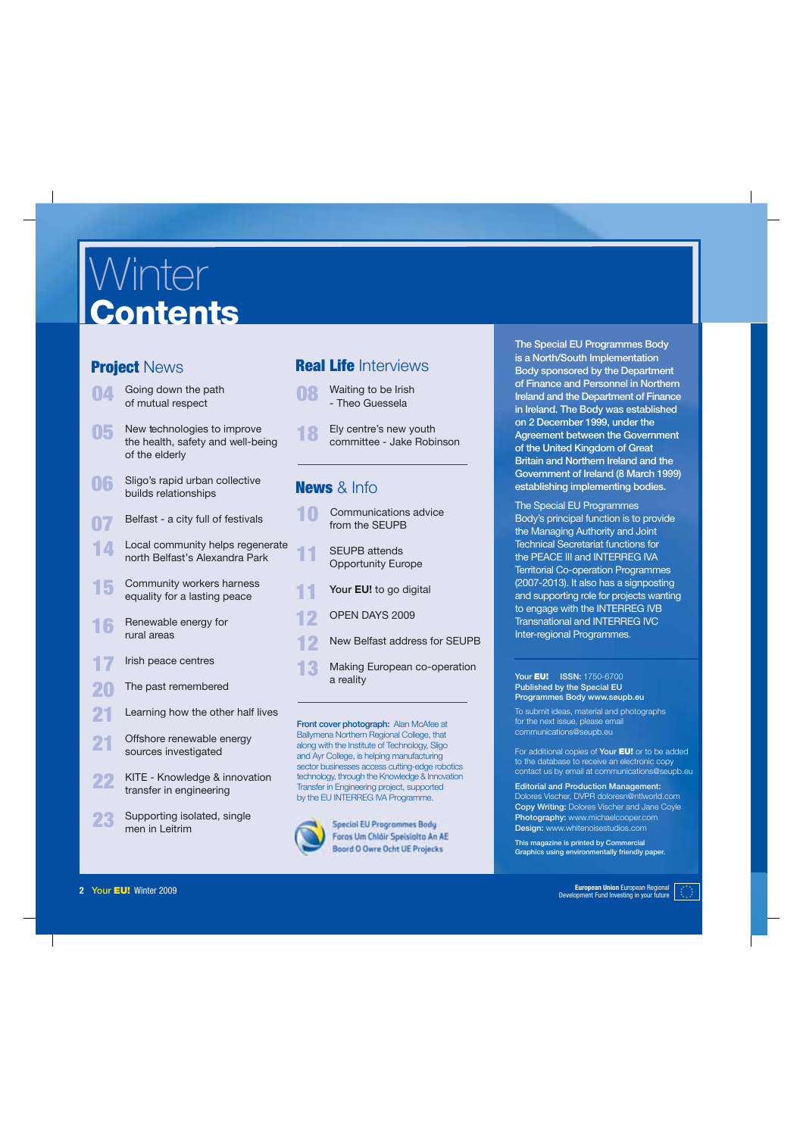## **Winter Contents**

#### **Project** News

- Going down the path of mutual respect **04**
- **05** New technologies to improve the health, safety and well-being of the elderly
- Sligo's rapid urban collective **06 News** & Info builds relationships
- Belfast a city full of festivals **07**
- Local community helps regenerate north Belfast's Alexandra Park **14**
- Community workers harness equality for a lasting peace **15**
- Renewable energy for rural areas **16**
- Irish peace centres **17**
- The past remembered **20**
- Learning how the other half lives **21**
- Offshore renewable energy sources investigated **21**
- KITE Knowledge & innovation transfer in engineering **22**
- Supporting isolated, single men in Leitrim **23**

#### **Real Life** Interviews

- Waiting to be Irish - Theo Guessela **08**
- **18** Ely centre's new youth committee - Jake Robinson

- Communications advice from the SEUPB **10**
- **11** SEUPB attends Opportunity Europe
- Your **EU!** to go digital **11**
- OPEN DAYS 2009 **12**
- New Belfast address for SEUPB **12**
- Making European co-operation a reality **13**

Front cover photograph: Alan McAfee at Ballymena Northern Regional College, that along with the Institute of Technology, Sligo and Ayr College, is helping manufacturing sector businesses access cutting-edge robotics technology, through the Knowledge & Innovation Transfer in Engineering project, supported by the EU INTERREG IVA Programme.



**Special EU Programmes Body** Foras Um Chláir Speisialta An AE **Boord O Owre Ocht UE Projecks** 

The Special EU Programmes Body is a North/South Implementation Body sponsored by the Department of Finance and Personnel in Northern Ireland and the Department of Finance in Ireland. The Body was established on 2 December 1999, under the Agreement between the Government of the United Kingdom of Great Britain and Northern Ireland and the Government of Ireland (8 March 1999) establishing implementing bodies.

The Special EU Programmes Body's principal function is to provide the Managing Authority and Joint Technical Secretariat functions for the PEACE III and INTERREG IVA Territorial Co-operation Programmes (2007-2013). It also has a signposting and supporting role for projects wanting to engage with the INTERREG IVB Transnational and INTERREG IVC Inter-regional Programmes.

Your **EU!** ISSN: 1750-6700 Published by the Special EU Programmes Body www.seupb.eu

To submit ideas, material and photographs for the next issue, please email communications@seupb.eu

For additional copies of Your **EU!** or to be added to the database to receive an electronic copy contact us by email at communications@seupb.eu

Editorial and Production Management: Dolores Vischer, DVPR doloresn@ntlworld.com Copy Writing: Dolores Vischer and Jane Coyle Photography: www.michaelcooper.com Design: www.whitenoisestudios.com

This magazine is printed by Commercial Graphics using environmentally friendly paper.

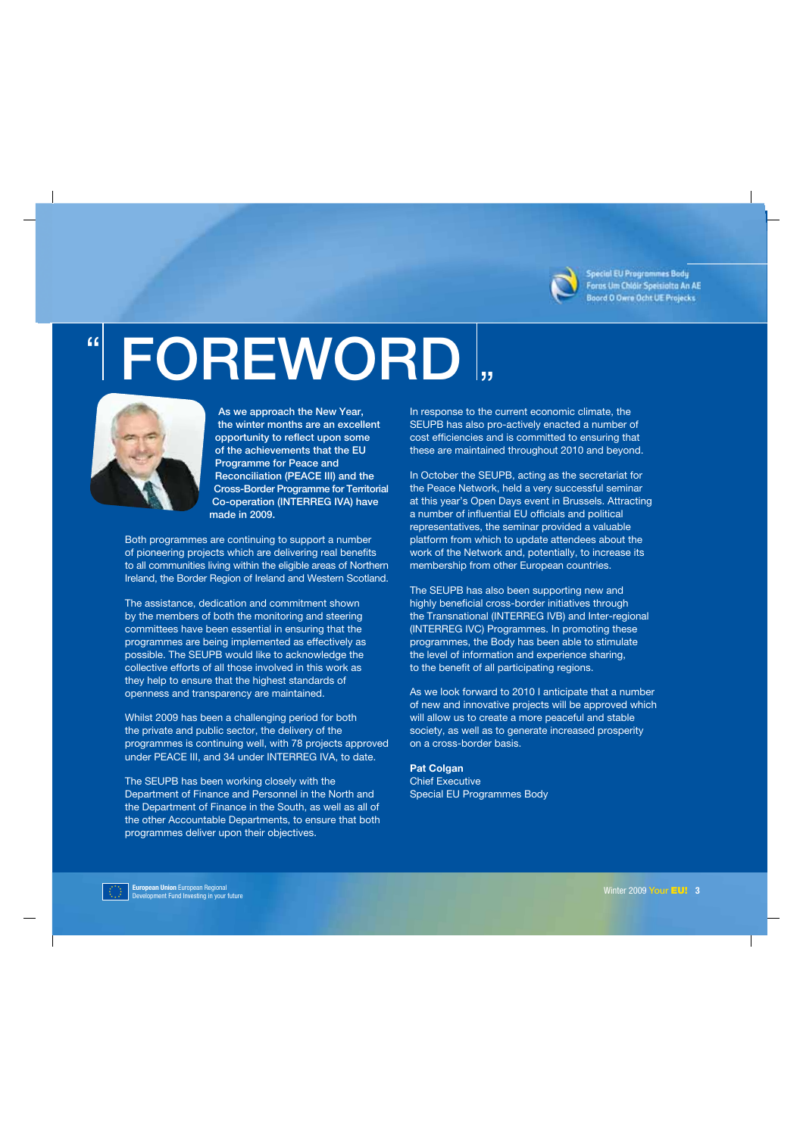

Special EU Programmes Body Foras Um Chláir Speisialta An AE Board O Owne Ocht UE Projecks

# " FOREWORD "



 As we approach the New Year, the winter months are an excellent opportunity to reflect upon some of the achievements that the EU Programme for Peace and Reconciliation (PEACE III) and the Cross-Border Programme for Territorial Co-operation (INTERREG IVA) have made in 2009.

Both programmes are continuing to support a number of pioneering projects which are delivering real benefits to all communities living within the eligible areas of Northern Ireland, the Border Region of Ireland and Western Scotland.

The assistance, dedication and commitment shown by the members of both the monitoring and steering committees have been essential in ensuring that the programmes are being implemented as effectively as possible. The SEUPB would like to acknowledge the collective efforts of all those involved in this work as they help to ensure that the highest standards of openness and transparency are maintained.

Whilst 2009 has been a challenging period for both the private and public sector, the delivery of the programmes is continuing well, with 78 projects approved under PEACE III, and 34 under INTERREG IVA, to date.

The SEUPB has been working closely with the Department of Finance and Personnel in the North and the Department of Finance in the South, as well as all of the other Accountable Departments, to ensure that both programmes deliver upon their objectives.

In response to the current economic climate, the SEUPB has also pro-actively enacted a number of cost efficiencies and is committed to ensuring that these are maintained throughout 2010 and beyond.

In October the SEUPB, acting as the secretariat for the Peace Network, held a very successful seminar at this year's Open Days event in Brussels. Attracting a number of influential EU officials and political representatives, the seminar provided a valuable platform from which to update attendees about the work of the Network and, potentially, to increase its membership from other European countries.

The SEUPB has also been supporting new and highly beneficial cross-border initiatives through the Transnational (INTERREG IVB) and Inter-regional (INTERREG IVC) Programmes. In promoting these programmes, the Body has been able to stimulate the level of information and experience sharing, to the benefit of all participating regions.

As we look forward to 2010 I anticipate that a number of new and innovative projects will be approved which will allow us to create a more peaceful and stable society, as well as to generate increased prosperity on a cross-border basis.

#### **Pat Colgan**

Chief Executive Special EU Programmes Body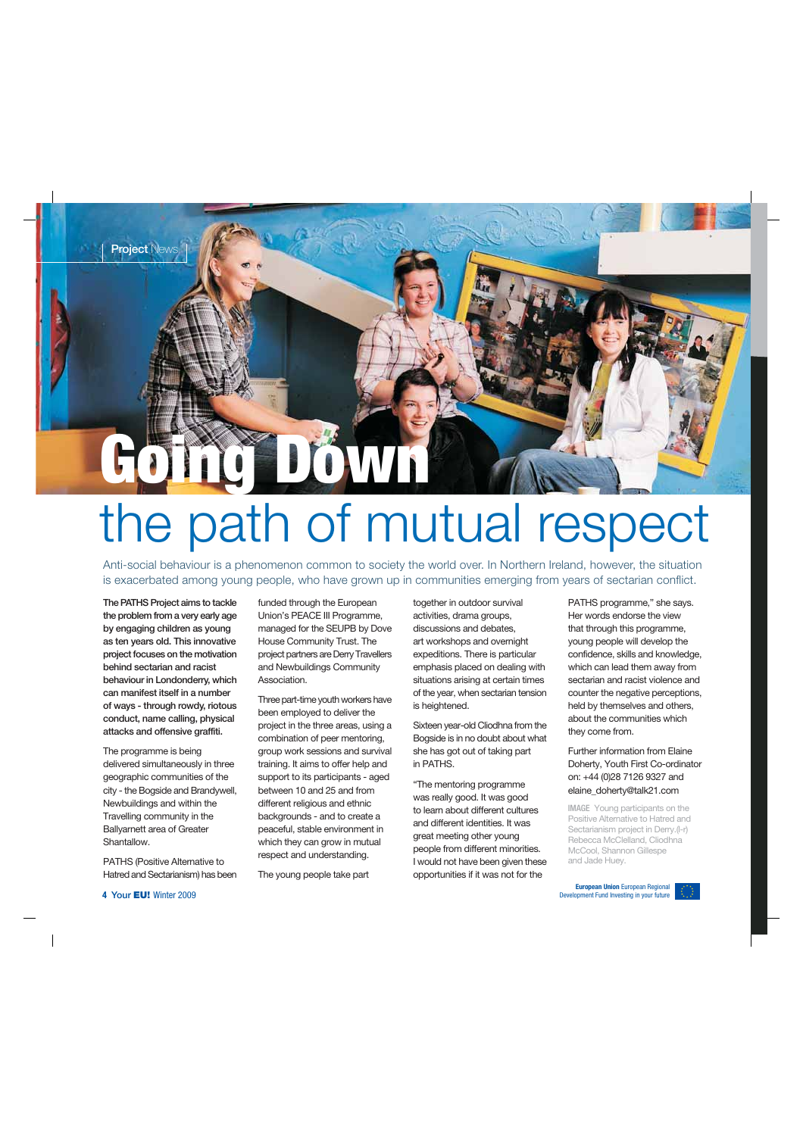# **Going Down** the path of mutual respect

Anti-social behaviour is a phenomenon common to society the world over. In Northern Ireland, however, the situation is exacerbated among young people, who have grown up in communities emerging from years of sectarian conflict.

The PATHS Project aims to tackle the problem from a very early age by engaging children as young as ten years old. This innovative project focuses on the motivation behind sectarian and racist behaviour in Londonderry, which can manifest itself in a number of ways - through rowdy, riotous conduct, name calling, physical attacks and offensive graffiti.

The programme is being delivered simultaneously in three geographic communities of the city - the Bogside and Brandywell, Newbuildings and within the Travelling community in the Ballyarnett area of Greater Shantallow.

PATHS (Positive Alternative to Hatred and Sectarianism) has been funded through the European Union's PEACE III Programme, managed for the SEUPB by Dove House Community Trust. The project partners are Derry Travellers and Newbuildings Community Association.

Three part-time youth workers have been employed to deliver the project in the three areas, using a combination of peer mentoring, group work sessions and survival training. It aims to offer help and support to its participants - aged between 10 and 25 and from different religious and ethnic backgrounds - and to create a peaceful, stable environment in which they can grow in mutual respect and understanding.

The young people take part

together in outdoor survival activities, drama groups, discussions and debates, art workshops and overnight expeditions. There is particular emphasis placed on dealing with situations arising at certain times of the year, when sectarian tension is heightened.

Sixteen year-old Cliodhna from the Bogside is in no doubt about what she has got out of taking part in PATHS.

"The mentoring programme was really good. It was good to learn about different cultures and different identities. It was great meeting other young people from different minorities. I would not have been given these opportunities if it was not for the

PATHS programme," she says. Her words endorse the view that through this programme, young people will develop the confidence, skills and knowledge, which can lead them away from sectarian and racist violence and counter the negative perceptions, held by themselves and others. about the communities which they come from.

Further information from Elaine Doherty, Youth First Co-ordinator on: +44 (0)28 7126 9327 and elaine\_doherty@talk21.com

**IMAGE** Young participants on the Positive Alternative to Hatred and Sectarianism project in Derry.(l-r) Rebecca McClelland, Cliodhna McCool, Shannon Gillespe and Jade Huey.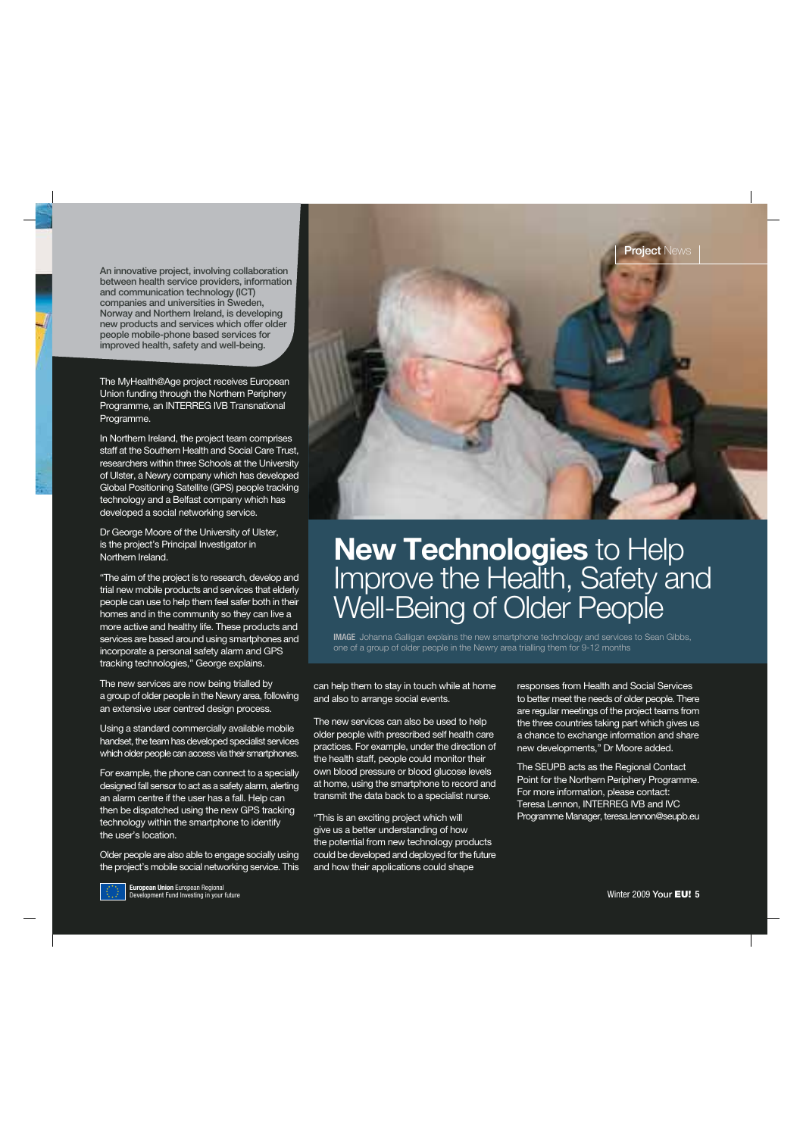An innovative project, involving collaboration between health service providers, information and communication technology (ICT) companies and universities in Sweden, Norway and Northern Ireland, is developing new products and services which offer older people mobile-phone based services for improved health, safety and well-being.

The MyHealth@Age project receives European Union funding through the Northern Periphery Programme, an INTERREG IVB Transnational Programme.

In Northern Ireland, the project team comprises staff at the Southern Health and Social Care Trust, researchers within three Schools at the University of Ulster, a Newry company which has developed Global Positioning Satellite (GPS) people tracking technology and a Belfast company which has developed a social networking service.

Dr George Moore of the University of Ulster, is the project's Principal Investigator in Northern Ireland.

"The aim of the project is to research, develop and trial new mobile products and services that elderly people can use to help them feel safer both in their homes and in the community so they can live a more active and healthy life. These products and services are based around using smartphones and incorporate a personal safety alarm and GPS tracking technologies," George explains.

The new services are now being trialled by a group of older people in the Newry area, following an extensive user centred design process.

Using a standard commercially available mobile handset, the team has developed specialist services which older people can access via their smartphones.

For example, the phone can connect to a specially designed fall sensor to act as a safety alarm, alerting an alarm centre if the user has a fall. Help can then be dispatched using the new GPS tracking technology within the smartphone to identify the user's location.

Older people are also able to engage socially using the project's mobile social networking service. This



### **New Technologies** to Help Improve the Health, Safety and Well-Being of Older People

**IMAGE** Johanna Galligan explains the new smartphone technology and services to Sean Gibbs, one of a group of older people in the Newry area trialling them for 9-12 months

can help them to stay in touch while at home and also to arrange social events.

The new services can also be used to help older people with prescribed self health care practices. For example, under the direction of the health staff, people could monitor their own blood pressure or blood glucose levels at home, using the smartphone to record and transmit the data back to a specialist nurse.

"This is an exciting project which will give us a better understanding of how the potential from new technology products could be developed and deployed for the future and how their applications could shape

responses from Health and Social Services to better meet the needs of older people. There are regular meetings of the project teams from the three countries taking part which gives us a chance to exchange information and share new developments," Dr Moore added.

The SEUPB acts as the Regional Contact Point for the Northern Periphery Programme. For more information, please contact: Teresa Lennon, INTERREG IVB and IVC Programme Manager, teresa.lennon@seupb.eu

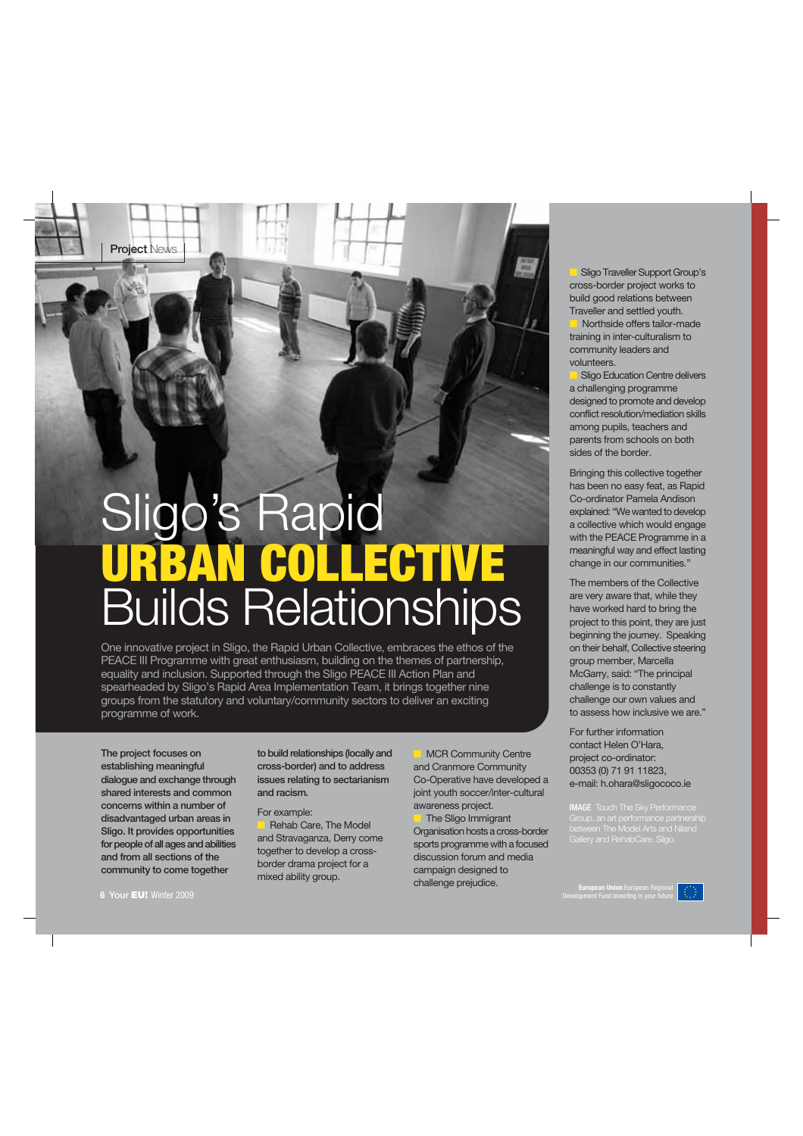**Project News** 

# Sligo's Rapid **URBAN COLLECTIVE** Builds Relationships

One innovative project in Sligo, the Rapid Urban Collective, embraces the ethos of the PEACE III Programme with great enthusiasm, building on the themes of partnership, equality and inclusion. Supported through the Sligo PEACE III Action Plan and spearheaded by Sligo's Rapid Area Implementation Team, it brings together nine groups from the statutory and voluntary/community sectors to deliver an exciting programme of work.

The project focuses on establishing meaningful dialogue and exchange through shared interests and common concerns within a number of disadvantaged urban areas in Sligo. It provides opportunities for people of all ages and abilities and from all sections of the community to come together

to build relationships (locally and cross-border) and to address issues relating to sectarianism and racism.

#### For example:

Rehab Care, The Model and Stravaganza, Derry come together to develop a crossborder drama project for a mixed ability group.

**MCR Community Centre** and Cranmore Community Co-Operative have developed a joint youth soccer/inter-cultural awareness project.

The Sligo Immigrant Organisation hosts a cross-border sports programme with a focused discussion forum and media campaign designed to challenge prejudice.

Sligo Traveller Support Group's cross-border project works to build good relations between Traveller and settled youth.

Northside offers tailor-made training in inter-culturalism to community leaders and volunteers.

Sligo Education Centre delivers a challenging programme designed to promote and develop conflict resolution/mediation skills among pupils, teachers and parents from schools on both sides of the border.

Bringing this collective together has been no easy feat, as Rapid Co-ordinator Pamela Andison explained: "We wanted to develop a collective which would engage with the PEACE Programme in a meaningful way and effect lasting change in our communities."

The members of the Collective are very aware that, while they have worked hard to bring the project to this point, they are just beginning the journey. Speaking on their behalf, Collective steering group member, Marcella McGarry, said: "The principal challenge is to constantly challenge our own values and to assess how inclusive we are."

For further information contact Helen O'Hara, project co-ordinator: 00353 (0) 71 91 11823, e-mail: h.ohara@sligococo.ie

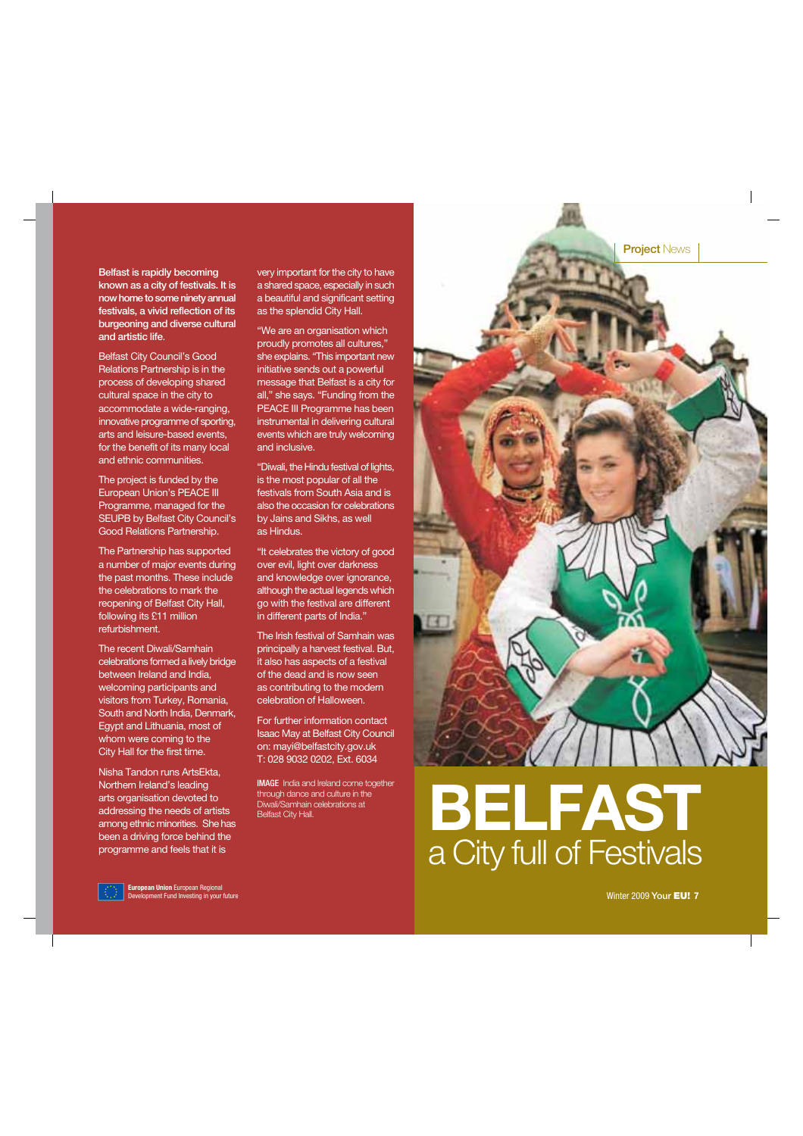Belfast is rapidly becoming known as a city of festivals. It is now home to some ninety annual festivals, a vivid reflection of its burgeoning and diverse cultural and artistic life.

Belfast City Council's Good Relations Partnership is in the process of developing shared cultural space in the city to accommodate a wide-ranging, innovative programme of sporting, arts and leisure-based events, for the benefit of its many local and ethnic communities.

The project is funded by the European Union's PEACE III Programme, managed for the SEUPB by Belfast City Council's Good Relations Partnership.

The Partnership has supported a number of major events during the past months. These include the celebrations to mark the reopening of Belfast City Hall, following its £11 million refurbishment.

The recent Diwali/Samhain celebrations formed a lively bridge between Ireland and India, welcoming participants and visitors from Turkey, Romania, South and North India, Denmark, Egypt and Lithuania, most of whom were coming to the City Hall for the first time.

Nisha Tandon runs ArtsEkta, Northern Ireland's leading arts organisation devoted to addressing the needs of artists among ethnic minorities. She has been a driving force behind the programme and feels that it is

very important for the city to have a shared space, especially in such a beautiful and significant setting as the splendid City Hall.

"We are an organisation which proudly promotes all cultures," she explains. "This important new initiative sends out a powerful message that Belfast is a city for all," she says. "Funding from the PEACE III Programme has been instrumental in delivering cultural events which are truly welcoming and inclusive.

"Diwali, the Hindu festival of lights, is the most popular of all the festivals from South Asia and is also the occasion for celebrations by Jains and Sikhs, as well as Hindus.

"It celebrates the victory of good over evil, light over darkness and knowledge over ignorance, although the actual legends which go with the festival are different in different parts of India."

The Irish festival of Samhain was principally a harvest festival. But, it also has aspects of a festival of the dead and is now seen as contributing to the modern celebration of Halloween.

For further information contact Isaac May at Belfast City Council on: mayi@belfastcity.gov.uk T: 028 9032 0202, Ext. 6034

**IMAGE** India and Ireland come together through dance and culture in the Diwali/Samhain celebrations at



# through dance and culture in the<br>Dival/Samhain celebrations at<br>Belfast City Hall. a City full of Festivals



Winter 2009 Your **EU! 7**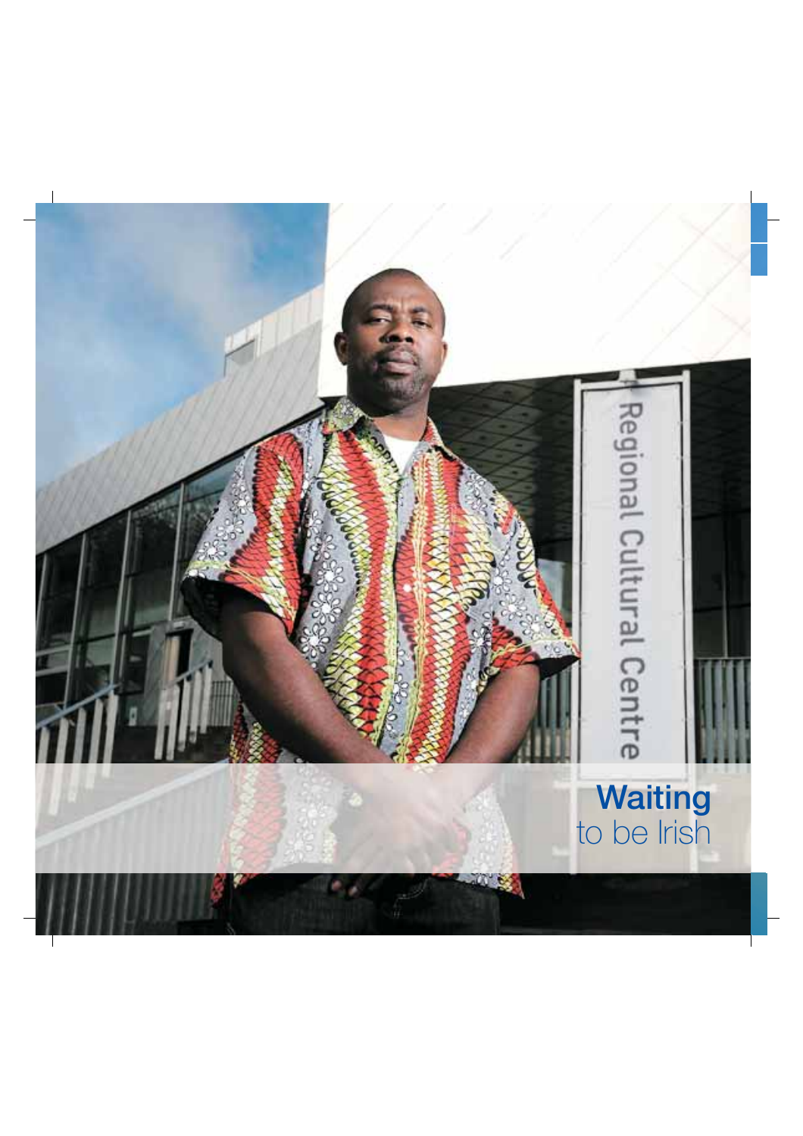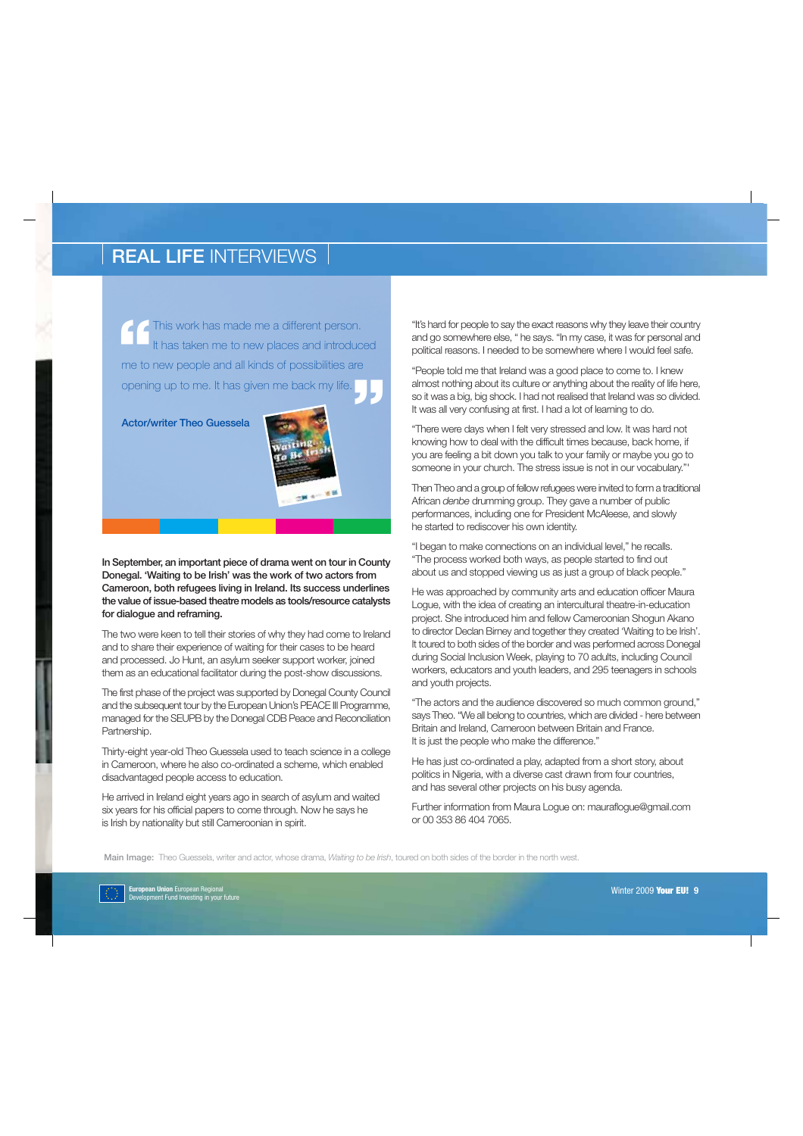**1** This work has made me a different person.<br>
It has taken me to new places and introduce<br>
me to new people and all kinds of possibilities are This work has made me a different person. It has taken me to new places and introduced opening up to me. It has given me back my life. **"**

Actor/writer Theo Guessela



In September, an important piece of drama went on tour in County Donegal. 'Waiting to be Irish' was the work of two actors from Cameroon, both refugees living in Ireland. Its success underlines the value of issue-based theatre models as tools/resource catalysts for dialogue and reframing.

The two were keen to tell their stories of why they had come to Ireland and to share their experience of waiting for their cases to be heard and processed. Jo Hunt, an asylum seeker support worker, joined them as an educational facilitator during the post-show discussions.

The first phase of the project was supported by Donegal County Council and the subsequent tour by the European Union's PEACE III Programme, managed for the SEUPB by the Donegal CDB Peace and Reconciliation Partnership.

Thirty-eight year-old Theo Guessela used to teach science in a college in Cameroon, where he also co-ordinated a scheme, which enabled disadvantaged people access to education.

He arrived in Ireland eight years ago in search of asylum and waited six years for his official papers to come through. Now he says he is Irish by nationality but still Cameroonian in spirit.

"It's hard for people to say the exact reasons why they leave their country and go somewhere else, " he says. "In my case, it was for personal and political reasons. I needed to be somewhere where I would feel safe.

"People told me that Ireland was a good place to come to. I knew almost nothing about its culture or anything about the reality of life here, so it was a big, big shock. I had not realised that Ireland was so divided. It was all very confusing at first. I had a lot of learning to do.

"There were days when I felt very stressed and low. It was hard not knowing how to deal with the difficult times because, back home, if you are feeling a bit down you talk to your family or maybe you go to someone in your church. The stress issue is not in our vocabulary."'

Then Theo and a group of fellow refugees were invited to form a traditional African denbe drumming group. They gave a number of public performances, including one for President McAleese, and slowly he started to rediscover his own identity.

"I began to make connections on an individual level," he recalls. "The process worked both ways, as people started to find out about us and stopped viewing us as just a group of black people."

He was approached by community arts and education officer Maura Logue, with the idea of creating an intercultural theatre-in-education project. She introduced him and fellow Cameroonian Shogun Akano to director Declan Birney and together they created 'Waiting to be Irish'. It toured to both sides of the border and was performed across Donegal during Social Inclusion Week, playing to 70 adults, including Council workers, educators and youth leaders, and 295 teenagers in schools and youth projects.

"The actors and the audience discovered so much common ground," says Theo. "We all belong to countries, which are divided - here between Britain and Ireland, Cameroon between Britain and France. It is just the people who make the difference."

He has just co-ordinated a play, adapted from a short story, about politics in Nigeria, with a diverse cast drawn from four countries, and has several other projects on his busy agenda.

Further information from Maura Logue on: mauraflogue@gmail.com or 00 353 86 404 7065.

Main Image: Theo Guessela, writer and actor, whose drama, Waiting to be Irish, toured on both sides of the border in the north west.

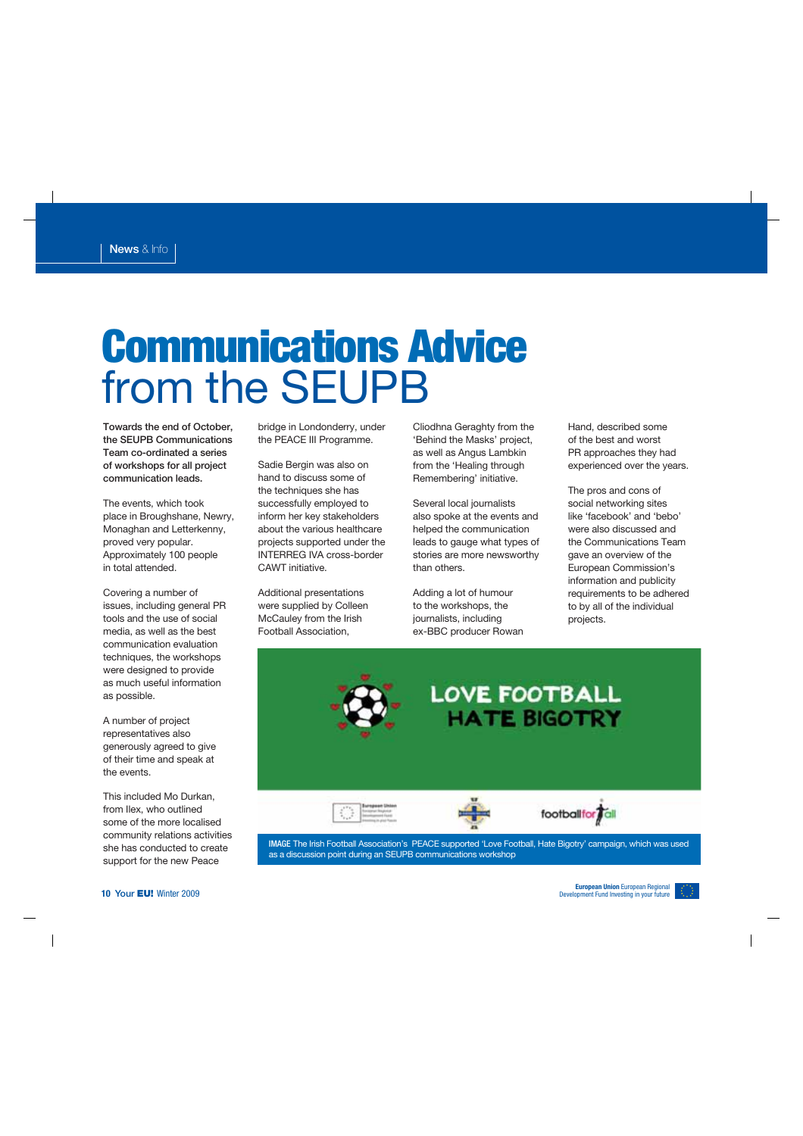# **Communications Advice** from the SEUPB

Towards the end of October, the SEUPB Communications Team co-ordinated a series of workshops for all project communication leads.

The events, which took place in Broughshane, Newry, Monaghan and Letterkenny, proved very popular. Approximately 100 people in total attended.

Covering a number of issues, including general PR tools and the use of social media, as well as the best communication evaluation techniques, the workshops were designed to provide as much useful information as possible.

A number of project representatives also generously agreed to give of their time and speak at the events.

This included Mo Durkan, from Ilex, who outlined some of the more localised community relations activities she has conducted to create support for the new Peace

bridge in Londonderry, under the PEACE III Programme.

Sadie Bergin was also on hand to discuss some of the techniques she has successfully employed to inform her key stakeholders about the various healthcare projects supported under the INTERREG IVA cross-border CAWT initiative.

Additional presentations were supplied by Colleen McCauley from the Irish Football Association,

Cliodhna Geraghty from the 'Behind the Masks' project, as well as Angus Lambkin from the 'Healing through Remembering' initiative.

Several local journalists also spoke at the events and helped the communication leads to gauge what types of stories are more newsworthy than others.

Adding a lot of humour to the workshops, the journalists, including ex-BBC producer Rowan Hand, described some of the best and worst PR approaches they had experienced over the years.

The pros and cons of social networking sites like 'facebook' and 'bebo' were also discussed and the Communications Team gave an overview of the European Commission's information and publicity requirements to be adhered to by all of the individual projects.



**IMAGE** The Irish Football Association's PEACE supported 'Love Football, Hate Bigotry' campaign, which was used as a discussion point during an SEUPB communications workshop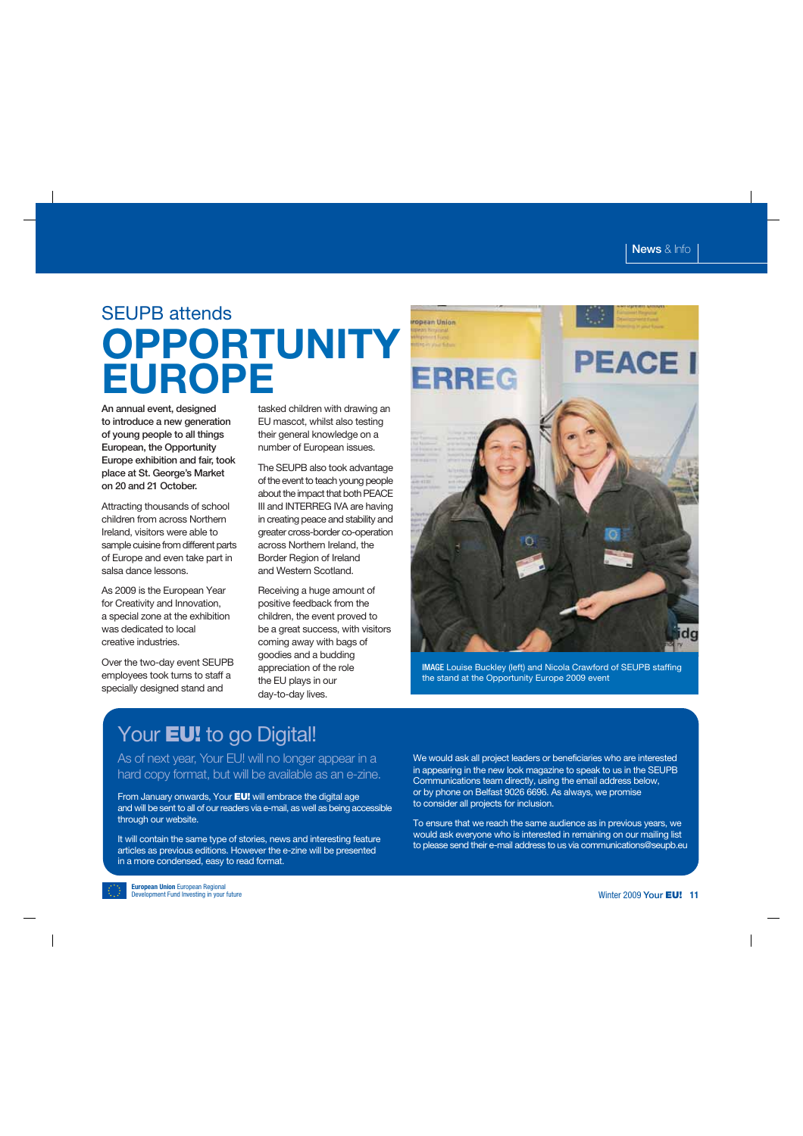### SEUPB attends **OPPORTUNITY EUROPE**

An annual event, designed to introduce a new generation of young people to all things European, the Opportunity Europe exhibition and fair, took place at St. George's Market on 20 and 21 October.

Attracting thousands of school children from across Northern Ireland, visitors were able to sample cuisine from different parts of Europe and even take part in salsa dance lessons.

As 2009 is the European Year for Creativity and Innovation, a special zone at the exhibition was dedicated to local creative industries.

Over the two-day event SEUPB employees took turns to staff a specially designed stand and

tasked children with drawing an EU mascot, whilst also testing their general knowledge on a number of European issues.

The SEUPB also took advantage of the event to teach young people about the impact that both PEACE III and INTERREG IVA are having in creating peace and stability and greater cross-border co-operation across Northern Ireland, the Border Region of Ireland and Western Scotland.

Receiving a huge amount of positive feedback from the children, the event proved to be a great success, with visitors coming away with bags of goodies and a budding appreciation of the role the EU plays in our day-to-day lives.



**IMAGE** Louise Buckley (left) and Nicola Crawford of SEUPB staffing the stand at the Opportunity Europe 2009 event

### Your **EU!** to go Digital!

#### As of next year, Your EU! will no longer appear in a hard copy format, but will be available as an e-zine.

From January onwards, Your **EU!** will embrace the digital age and will be sent to all of our readers via e-mail, as well as being accessible through our website.

It will contain the same type of stories, news and interesting feature articles as previous editions. However the e-zine will be presented in a more condensed, easy to read format.

We would ask all project leaders or beneficiaries who are interested in appearing in the new look magazine to speak to us in the SEUPB Communications team directly, using the email address below, or by phone on Belfast 9026 6696. As always, we promise to consider all projects for inclusion.

To ensure that we reach the same audience as in previous years, we would ask everyone who is interested in remaining on our mailing list to please send their e-mail address to us via communications@seupb.eu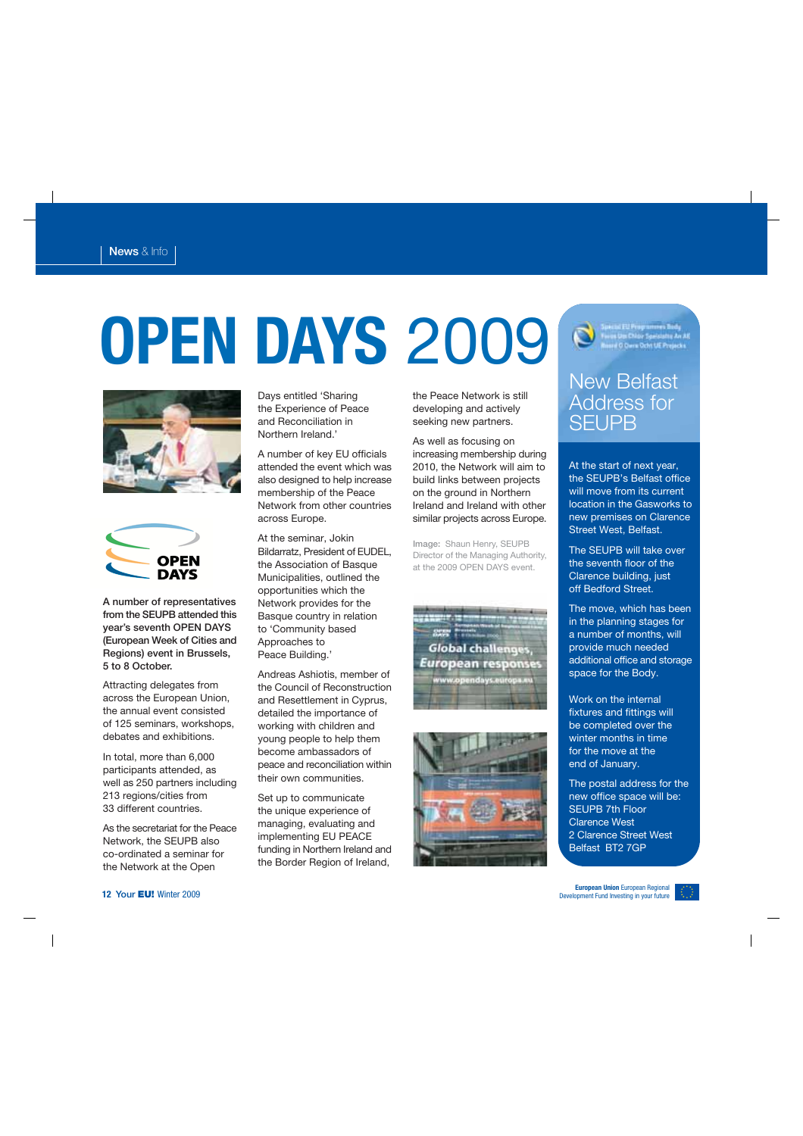# **OPEN DAYS** 2009





A number of representatives from the SEUPB attended this year's seventh OPEN DAYS (European Week of Cities and Regions) event in Brussels, 5 to 8 October.

Attracting delegates from across the European Union, the annual event consisted of 125 seminars, workshops, debates and exhibitions.

In total, more than 6,000 participants attended, as well as 250 partners including 213 regions/cities from 33 different countries.

As the secretariat for the Peace Network, the SEUPB also co-ordinated a seminar for the Network at the Open

Days entitled 'Sharing the Experience of Peace and Reconciliation in Northern Ireland.'

A number of key EU officials attended the event which was also designed to help increase membership of the Peace Network from other countries across Europe.

At the seminar, Jokin Bildarratz, President of EUDEL, the Association of Basque Municipalities, outlined the opportunities which the Network provides for the Basque country in relation to 'Community based Approaches to Peace Building.'

Andreas Ashiotis, member of the Council of Reconstruction and Resettlement in Cyprus, detailed the importance of working with children and young people to help them become ambassadors of peace and reconciliation within their own communities.

Set up to communicate the unique experience of managing, evaluating and implementing EU PEACE funding in Northern Ireland and the Border Region of Ireland,

the Peace Network is still developing and actively seeking new partners.

As well as focusing on increasing membership during 2010, the Network will aim to build links between projects on the ground in Northern Ireland and Ireland with other similar projects across Europe.

Image: Shaun Henry, SEUPB Director of the Managing Authority, at the 2009 OPEN DAYS event.





ipectol FU Programmes Body<br>Iwas Uss Chico Specialty An AE<br>Insee O Dave Ocht UE Projects

#### New Belfast Address for **SEUPB**

At the start of next year, the SEUPB's Belfast office will move from its current location in the Gasworks to new premises on Clarence Street West, Belfast.

The SEUPB will take over the seventh floor of the Clarence building, just off Bedford Street.

The move, which has been in the planning stages for a number of months, will provide much needed additional office and storage space for the Body.

Work on the internal fixtures and fittings will be completed over the winter months in time for the move at the end of January.

The postal address for the new office space will be: SEUPB 7th Floor Clarence West 2 Clarence Street West Belfast BT2 7GP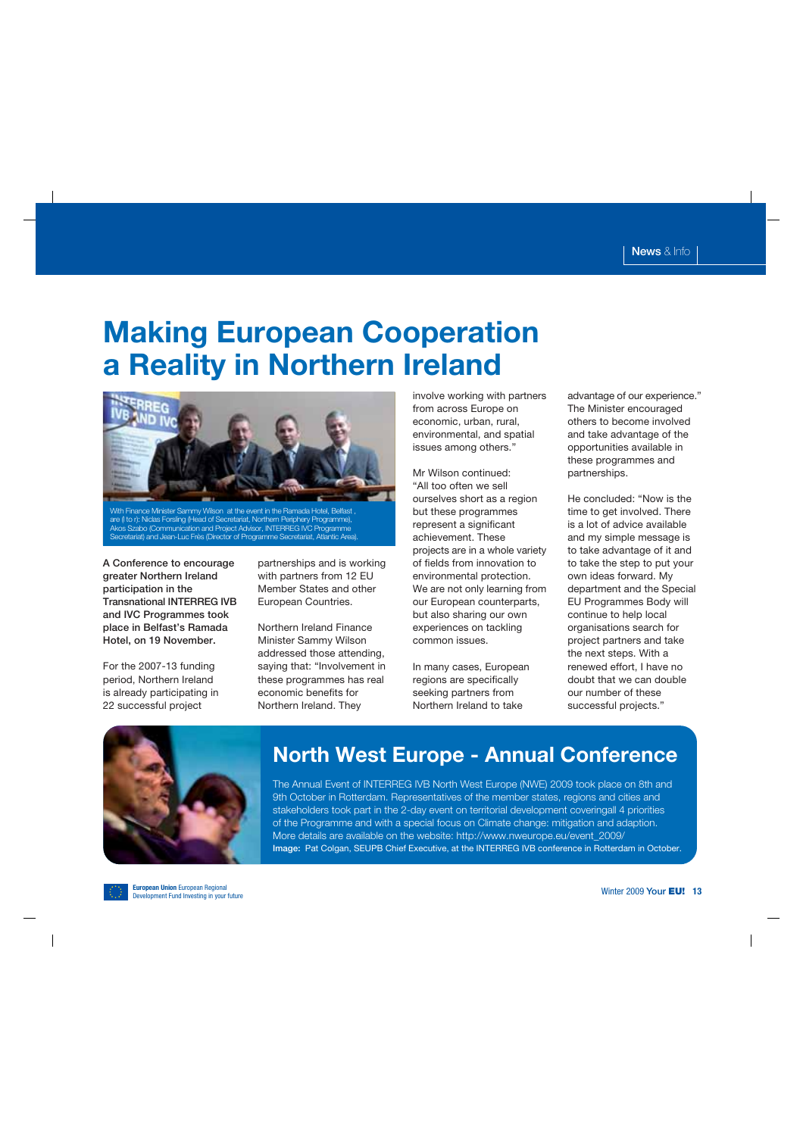### **Making European Cooperation a Reality in Northern Ireland**



With Finance Minister Sammy Wilson at the event in the Ramada Hotel, Belfast are (l to r): Niclas Forsling (Head of Secretariat, Northern Periphery Programme), Akos Szabo (Communication and Project Advisor, INTERREG IVC Programme Secretariat) and Jean-Luc Frès (Director of Programme Secretariat, Atlantic Area).

A Conference to encourage greater Northern Ireland participation in the Transnational INTERREG IVB and IVC Programmes took place in Belfast's Ramada Hotel, on 19 November.

For the 2007-13 funding period, Northern Ireland is already participating in 22 successful project

partnerships and is working with partners from 12 EU Member States and other European Countries.

Northern Ireland Finance Minister Sammy Wilson addressed those attending, saying that: "Involvement in these programmes has real economic benefits for Northern Ireland. They

involve working with partners from across Europe on economic, urban, rural, environmental, and spatial issues among others."

Mr Wilson continued: "All too often we sell ourselves short as a region but these programmes represent a significant achievement. These projects are in a whole variety of fields from innovation to environmental protection. We are not only learning from our European counterparts, but also sharing our own experiences on tackling common issues.

In many cases, European regions are specifically seeking partners from Northern Ireland to take

advantage of our experience." The Minister encouraged others to become involved and take advantage of the opportunities available in these programmes and partnerships.

He concluded: "Now is the time to get involved. There is a lot of advice available and my simple message is to take advantage of it and to take the step to put your own ideas forward. My department and the Special EU Programmes Body will continue to help local organisations search for project partners and take the next steps. With a renewed effort, I have no doubt that we can double our number of these successful projects."



#### **North West Europe - Annual Conference**

The Annual Event of INTERREG IVB North West Europe (NWE) 2009 took place on 8th and 9th October in Rotterdam. Representatives of the member states, regions and cities and stakeholders took part in the 2-day event on territorial development coveringall 4 priorities of the Programme and with a special focus on Climate change: mitigation and adaption. More details are available on the website: http://www.nweurope.eu/event\_2009/ Image: Pat Colgan, SEUPB Chief Executive, at the INTERREG IVB conference in Rotterdam in October.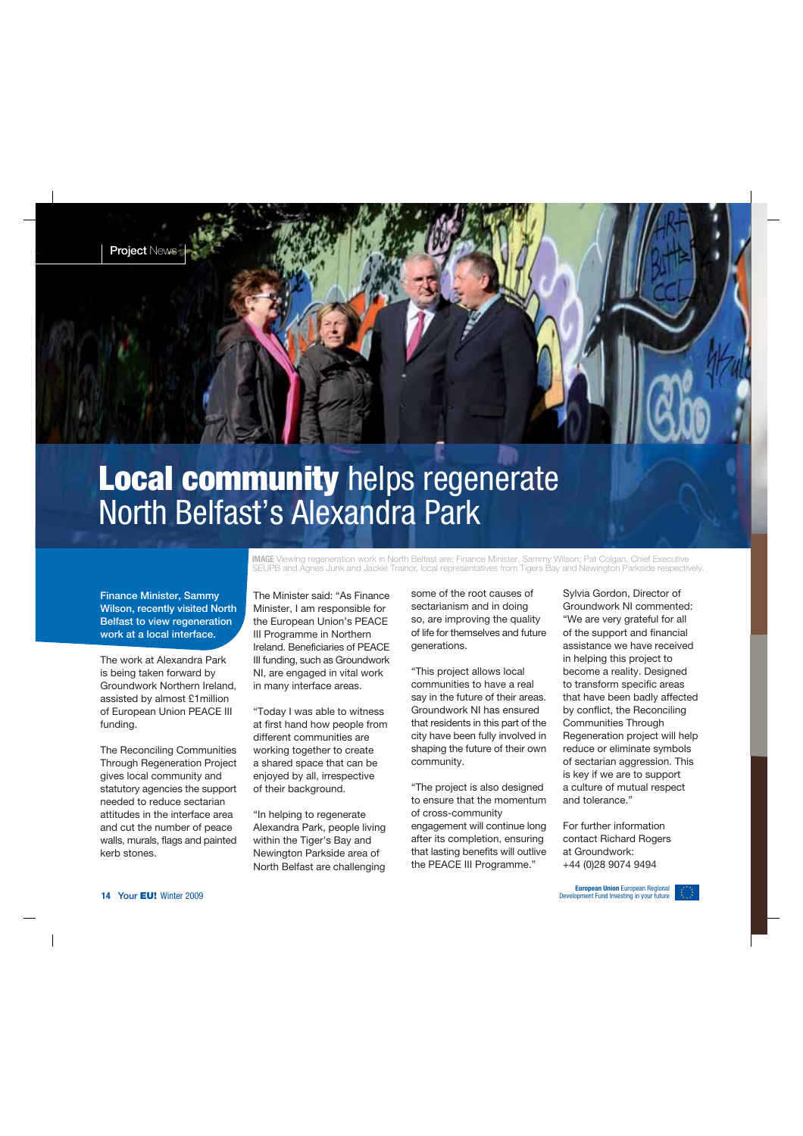

### **Local community** helps regenerate North Belfast's Alexandra Park

Finance Minister, Sammy Wilson, recently visited North Belfast to view regeneration work at a local interface.

The work at Alexandra Park is being taken forward by Groundwork Northern Ireland, assisted by almost £1million of European Union PEACE III funding.

The Reconciling Communities Through Regeneration Project gives local community and statutory agencies the support needed to reduce sectarian attitudes in the interface area and cut the number of peace walls, murals, flags and painted kerb stones.

**IMAGE** Viewing regeneration work in North Belfast are: Finance Minister, Sammy Wilson; Pat Colgan, Chief Executive SEUPB and Agnes Junk and Jackie Trainor, local representatives from Tigers Bay and Newington Parkside respectively.

The Minister said: "As Finance Minister, I am responsible for the European Union's PEACE III Programme in Northern Ireland. Beneficiaries of PEACE III funding, such as Groundwork NI, are engaged in vital work in many interface areas.

"Today I was able to witness at first hand how people from different communities are working together to create a shared space that can be enjoyed by all, irrespective of their background.

"In helping to regenerate Alexandra Park, people living within the Tiger's Bay and Newington Parkside area of North Belfast are challenging

some of the root causes of sectarianism and in doing so, are improving the quality of life for themselves and future generations.

"This project allows local communities to have a real say in the future of their areas. Groundwork NI has ensured that residents in this part of the city have been fully involved in shaping the future of their own community.

"The project is also designed to ensure that the momentum of cross-community

engagement will continue long after its completion, ensuring that lasting benefits will outlive the PEACE III Programme."

Sylvia Gordon, Director of Groundwork NI commented: "We are very grateful for all of the support and financial assistance we have received in helping this project to become a reality. Designed to transform specific areas that have been badly affected by conflict, the Reconciling Communities Through Regeneration project will help reduce or eliminate symbols of sectarian aggression. This is key if we are to support a culture of mutual respect and tolerance."

For further information contact Richard Rogers at Groundwork: +44 (0)28 9074 9494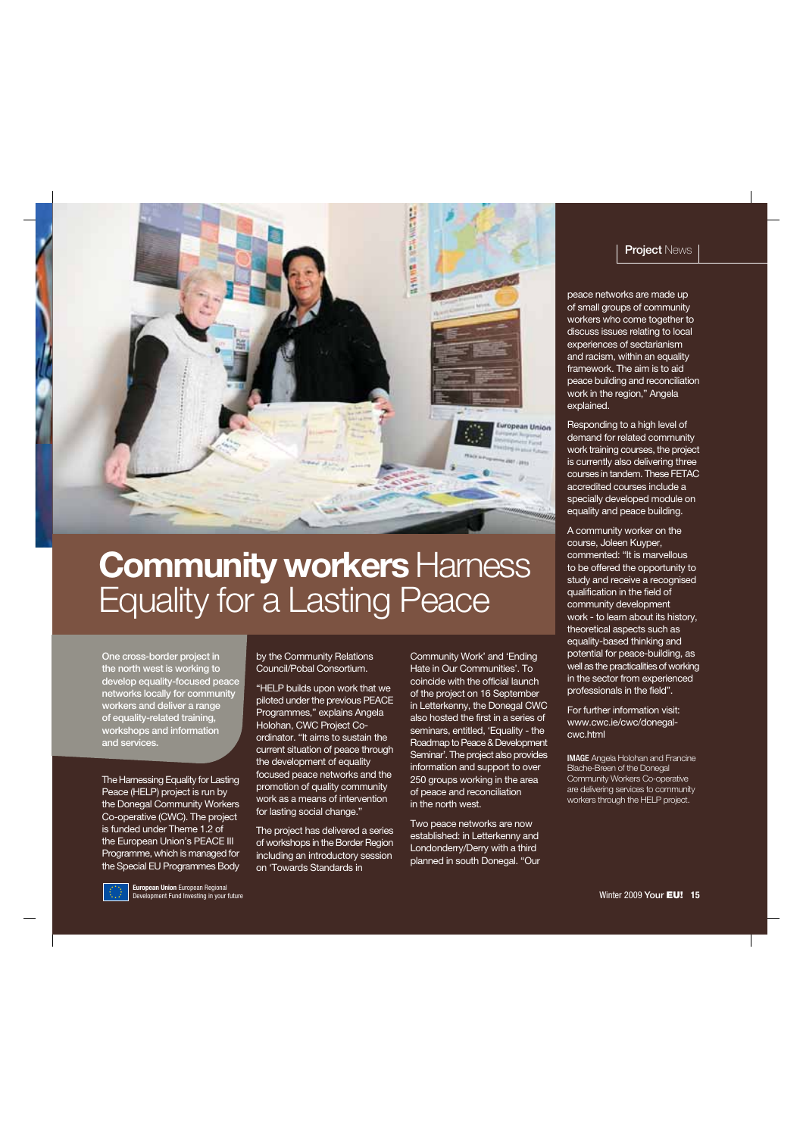

## **Community workers Harness** Equality for a Lasting Peace

One cross-border project in the north west is working to develop equality-focused peace networks locally for community workers and deliver a range of equality-related training, workshops and information and services.

The Hamessing Equality for Lasting Peace (HELP) project is run by the Donegal Community Workers Co-operative (CWC). The project is funded under Theme 1.2 of the European Union's PEACE III Programme, which is managed for the Special EU Programmes Body by the Community Relations Council/Pobal Consortium.

"HELP builds upon work that we piloted under the previous PEACE Programmes," explains Angela Holohan, CWC Project Coordinator. "It aims to sustain the current situation of peace through the development of equality focused peace networks and the promotion of quality community work as a means of intervention for lasting social change."

The project has delivered a series of workshops in the Border Region including an introductory session on 'Towards Standards in

Community Work' and 'Ending Hate in Our Communities'. To coincide with the official launch of the project on 16 September in Letterkenny, the Donegal CWC also hosted the first in a series of seminars, entitled, 'Equality - the Roadmap to Peace & Development Seminar'. The project also provides information and support to over 250 groups working in the area of peace and reconciliation in the north west.

Two peace networks are now established: in Letterkenny and Londonderry/Derry with a third planned in south Donegal. "Our

#### **Project News**

peace networks are made up of small groups of community workers who come together to discuss issues relating to local experiences of sectarianism and racism, within an equality framework. The aim is to aid peace building and reconciliation work in the region," Angela explained.

Responding to a high level of demand for related community work training courses, the project is currently also delivering three courses in tandem. These FETAC accredited courses include a specially developed module on equality and peace building.

A community worker on the course, Joleen Kuyper, commented: "It is marvellous to be offered the opportunity to study and receive a recognised qualification in the field of community development work - to learn about its history, theoretical aspects such as equality-based thinking and potential for peace-building, as well as the practicalities of working in the sector from experienced professionals in the field".

For further information visit: www.cwc.ie/cwc/donegalcwc.html

**IMAGE** Angela Holohan and Francine Blache-Breen of the Donegal Community Workers Co-operative are delivering services to community workers through the HELP project.

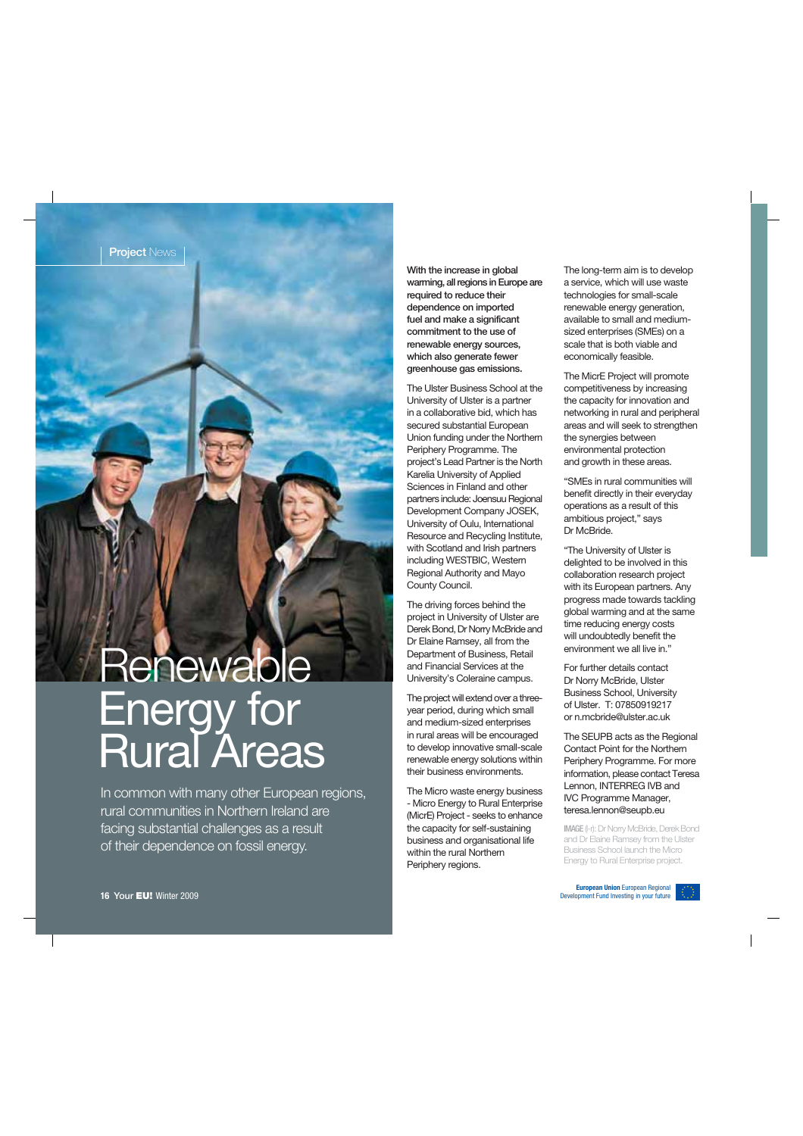# **Renewable** Energy for Rural Areas

In common with many other European regions, rural communities in Northern Ireland are facing substantial challenges as a result of their dependence on fossil energy.

With the increase in global warming, all regions in Europe are required to reduce their dependence on imported fuel and make a significant commitment to the use of renewable energy sources, which also generate fewer greenhouse gas emissions.

The Ulster Business School at the University of Ulster is a partner in a collaborative bid, which has secured substantial European Union funding under the Northern Periphery Programme. The project's Lead Partner is the North Karelia University of Applied Sciences in Finland and other partners include: Joensuu Regional Development Company JOSEK, University of Oulu, International Resource and Recycling Institute, with Scotland and Irish partners including WESTBIC, Western Regional Authority and Mayo County Council.

The driving forces behind the project in University of Ulster are Derek Bond, Dr Norry McBride and Dr Elaine Ramsey, all from the Department of Business, Retail and Financial Services at the University's Coleraine campus.

The project will extend over a threeyear period, during which small and medium-sized enterprises in rural areas will be encouraged to develop innovative small-scale renewable energy solutions within their business environments.

The Micro waste energy business - Micro Energy to Rural Enterprise (MicrE) Project - seeks to enhance the capacity for self-sustaining business and organisational life within the rural Northern Periphery regions.

The long-term aim is to develop a service, which will use waste technologies for small-scale renewable energy generation, available to small and mediumsized enterprises (SMEs) on a scale that is both viable and economically feasible.

The MicrE Project will promote competitiveness by increasing the capacity for innovation and networking in rural and peripheral areas and will seek to strengthen the synergies between environmental protection and growth in these areas.

"SMEs in rural communities will benefit directly in their everyday operations as a result of this ambitious project," says Dr McBride.

"The University of Ulster is delighted to be involved in this collaboration research project with its European partners. Any progress made towards tackling global warming and at the same time reducing energy costs will undoubtedly benefit the environment we all live in."

For further details contact Dr Norry McBride, Ulster Business School, University of Ulster. T: 07850919217 or n.mcbride@ulster.ac.uk

The SEUPB acts as the Regional Contact Point for the Northern Periphery Programme. For more information, please contact Teresa Lennon, INTERREG IVB and IVC Programme Manager, teresa.lennon@seupb.eu

**IMAGE** (l-r): Dr Norry McBride, Derek Bond and Dr Elaine Ramsey from the Ulster Business School launch the Micro Energy to Rural Enterprise project.

**European Union** European Regional Development Fund Investing in your future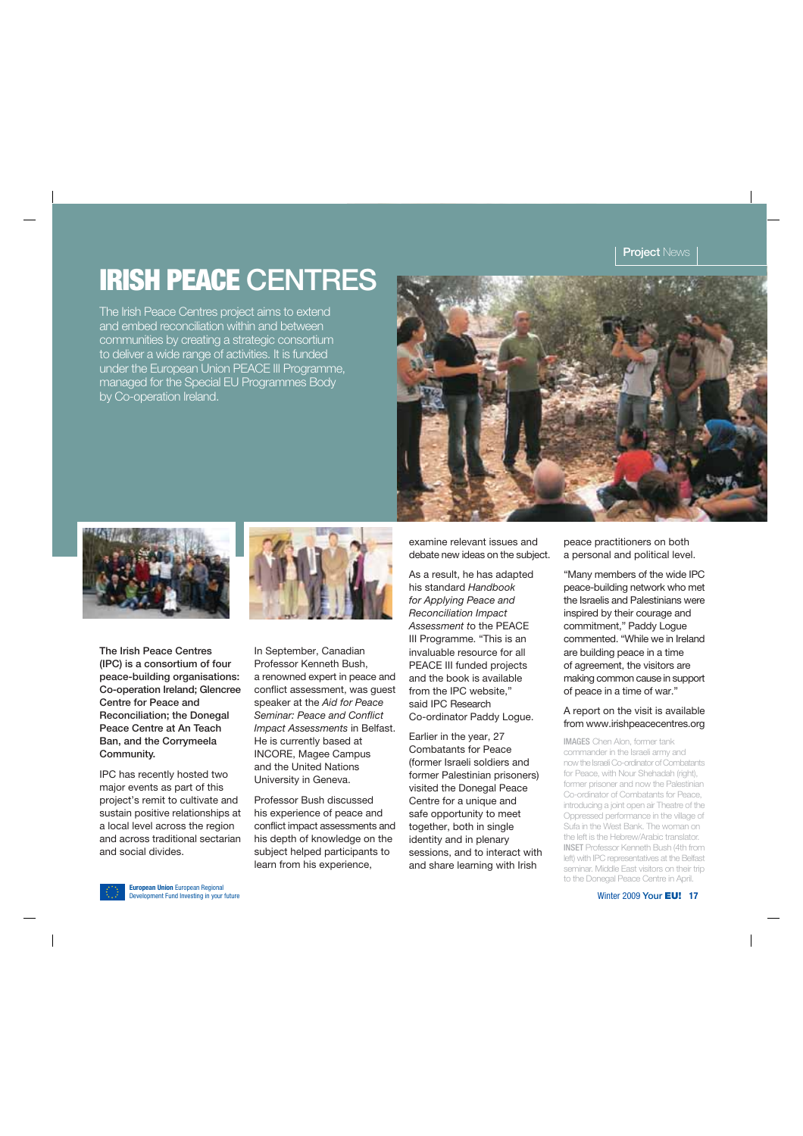### **IRISH PEACE** CENTRES

The Irish Peace Centres project aims to extend and embed reconciliation within and between communities by creating a strategic consortium to deliver a wide range of activities. It is funded under the European Union PEACE III Programme, managed for the Special EU Programmes Body by Co-operation Ireland.





The Irish Peace Centres (IPC) is a consortium of four peace-building organisations: Co-operation Ireland; Glencree Centre for Peace and Reconciliation; the Donegal Peace Centre at An Teach Ban, and the Corrymeela Community.

IPC has recently hosted two major events as part of this project's remit to cultivate and sustain positive relationships at a local level across the region and across traditional sectarian and social divides.

In September, Canadian Professor Kenneth Bush, a renowned expert in peace and conflict assessment, was guest speaker at the Aid for Peace Seminar: Peace and Conflict Impact Assessments in Belfast. He is currently based at INCORE, Magee Campus and the United Nations University in Geneva.

Professor Bush discussed his experience of peace and conflict impact assessments and his depth of knowledge on the subject helped participants to learn from his experience,

examine relevant issues and debate new ideas on the subject.

As a result, he has adapted his standard Handbook for Applying Peace and Reconciliation Impact Assessment to the PEACE III Programme. "This is an invaluable resource for all PEACE III funded projects and the book is available from the IPC website," said IPC Research Co-ordinator Paddy Logue.

Earlier in the year, 27 Combatants for Peace (former Israeli soldiers and former Palestinian prisoners) visited the Donegal Peace Centre for a unique and safe opportunity to meet together, both in single identity and in plenary sessions, and to interact with and share learning with Irish

peace practitioners on both a personal and political level.

"Many members of the wide IPC peace-building network who met the Israelis and Palestinians were inspired by their courage and commitment," Paddy Logue commented. "While we in Ireland are building peace in a time of agreement, the visitors are making common cause in support of peace in a time of war."

#### A report on the visit is available from www.irishpeacecentres.org

**IMAGES** Chen Alon, former tank commander in the Israeli army and now the Israeli Co-ordinator of Combatants for Peace, with Nour Shehadah (right), former prisoner and now the Palestinian Co-ordinator of Combatants for Peace, introducing a joint open air Theatre of the Oppressed performance in the village of Sufa in the West Bank. The woman on the left is the Hebrew/Arabic translator. **INSET** Professor Kenneth Bush (4th from left) with IPC representatives at the Belfast seminar. Middle East visitors on their trip to the Donegal Peace Centre in April.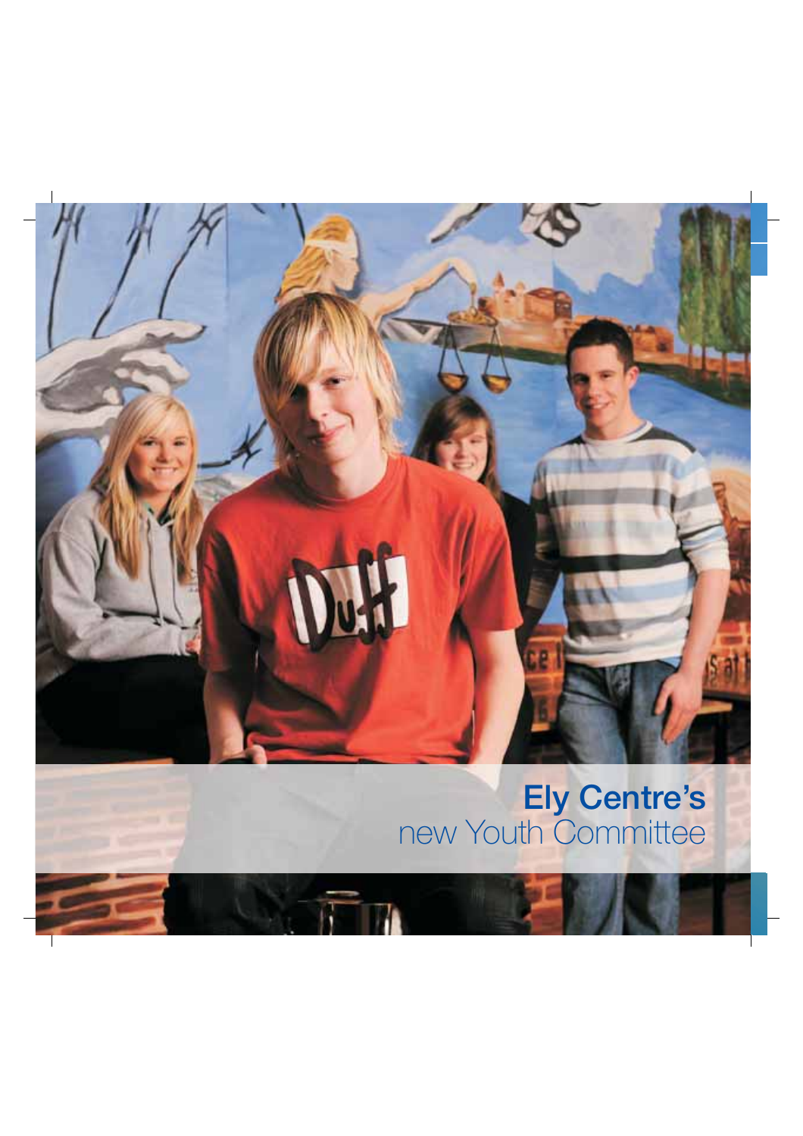## Ely Centre's new Youth Committee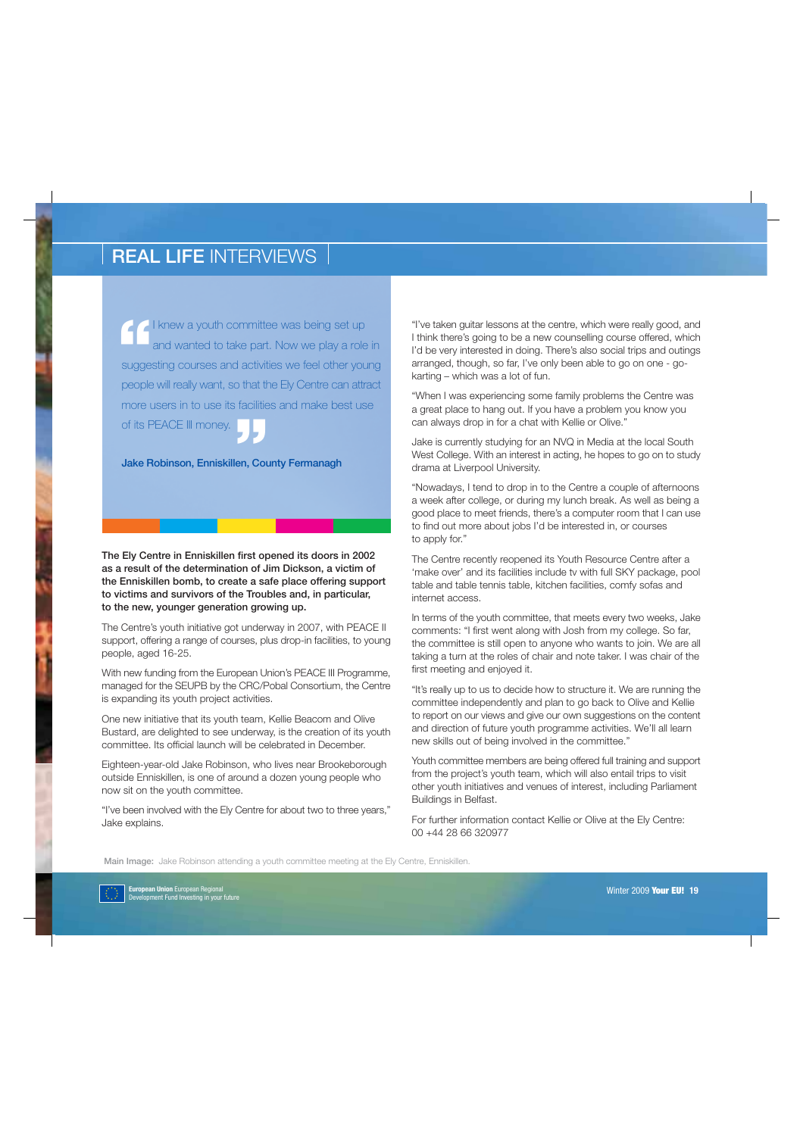**1** knew a youth committee was being set up<br>
and wanted to take part. Now we play a role in<br>
suggesting courses and activities we feel other young **I** knew a youth committee was being set up and wanted to take part. Now we play a role in people will really want, so that the Ely Centre can attract more users in to use its facilities and make best use of its PEACE III money. **"**

Jake Robinson, Enniskillen, County Fermanagh

The Ely Centre in Enniskillen first opened its doors in 2002 as a result of the determination of Jim Dickson, a victim of the Enniskillen bomb, to create a safe place offering support to victims and survivors of the Troubles and, in particular, to the new, younger generation growing up.

The Centre's youth initiative got underway in 2007, with PEACE II support, offering a range of courses, plus drop-in facilities, to young people, aged 16-25.

With new funding from the European Union's PEACE III Programme, managed for the SEUPB by the CRC/Pobal Consortium, the Centre is expanding its youth project activities.

One new initiative that its youth team, Kellie Beacom and Olive Bustard, are delighted to see underway, is the creation of its youth committee. Its official launch will be celebrated in December.

Eighteen-year-old Jake Robinson, who lives near Brookeborough outside Enniskillen, is one of around a dozen young people who now sit on the youth committee.

"I've been involved with the Ely Centre for about two to three years," Jake explains.

"I've taken guitar lessons at the centre, which were really good, and I think there's going to be a new counselling course offered, which I'd be very interested in doing. There's also social trips and outings arranged, though, so far, I've only been able to go on one - gokarting – which was a lot of fun.

"When I was experiencing some family problems the Centre was a great place to hang out. If you have a problem you know you can always drop in for a chat with Kellie or Olive."

Jake is currently studying for an NVQ in Media at the local South West College. With an interest in acting, he hopes to go on to study drama at Liverpool University.

"Nowadays, I tend to drop in to the Centre a couple of afternoons a week after college, or during my lunch break. As well as being a good place to meet friends, there's a computer room that I can use to find out more about jobs I'd be interested in, or courses to apply for."

The Centre recently reopened its Youth Resource Centre after a 'make over' and its facilities include tv with full SKY package, pool table and table tennis table, kitchen facilities, comfy sofas and internet access.

In terms of the youth committee, that meets every two weeks, Jake comments: "I first went along with Josh from my college. So far, the committee is still open to anyone who wants to join. We are all taking a turn at the roles of chair and note taker. I was chair of the first meeting and enjoyed it.

"It's really up to us to decide how to structure it. We are running the committee independently and plan to go back to Olive and Kellie to report on our views and give our own suggestions on the content and direction of future youth programme activities. We'll all learn new skills out of being involved in the committee."

Youth committee members are being offered full training and support from the project's youth team, which will also entail trips to visit other youth initiatives and venues of interest, including Parliament Buildings in Belfast.

For further information contact Kellie or Olive at the Ely Centre: 00 +44 28 66 320977

Main Image: Jake Robinson attending a youth committee meeting at the Ely Centre, Enniskillen.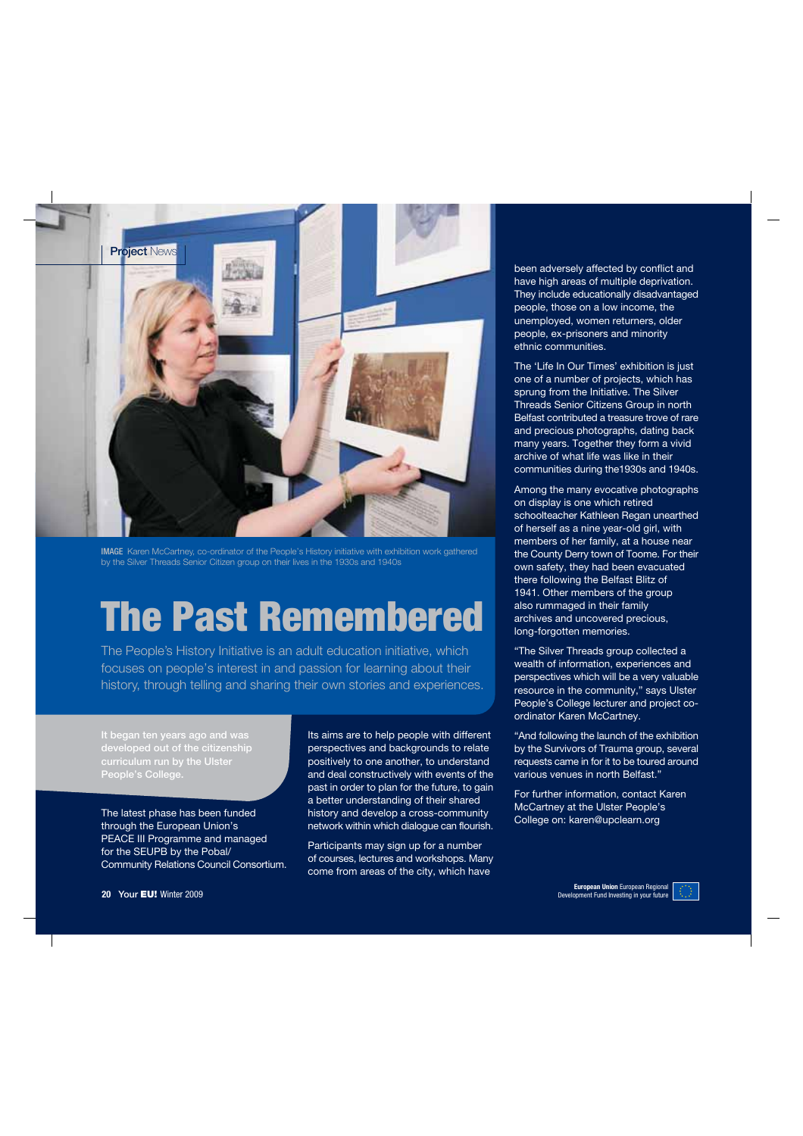

**IMAGE** Karen McCartney, co-ordinator of the People's History initiative with exhibition work gathered by the Silver Threads Senior Citizen group on their lives in the 1930s and 1940s

# **The Past Remembered**

The People's History Initiative is an adult education initiative, which focuses on people's interest in and passion for learning about their history, through telling and sharing their own stories and experiences.

It began ten years ago and was developed out of the citizenship curriculum run by the Ulster People's College.

The latest phase has been funded through the European Union's PEACE III Programme and managed for the SEUPB by the Pobal/ Community Relations Council Consortium. Its aims are to help people with different perspectives and backgrounds to relate positively to one another, to understand and deal constructively with events of the past in order to plan for the future, to gain a better understanding of their shared history and develop a cross-community network within which dialogue can flourish.

Participants may sign up for a number of courses, lectures and workshops. Many come from areas of the city, which have

been adversely affected by conflict and have high areas of multiple deprivation. They include educationally disadvantaged people, those on a low income, the unemployed, women returners, older people, ex-prisoners and minority ethnic communities.

The 'Life In Our Times' exhibition is just one of a number of projects, which has sprung from the Initiative. The Silver Threads Senior Citizens Group in north Belfast contributed a treasure trove of rare and precious photographs, dating back many years. Together they form a vivid archive of what life was like in their communities during the1930s and 1940s.

Among the many evocative photographs on display is one which retired schoolteacher Kathleen Regan unearthed of herself as a nine year-old girl, with members of her family, at a house near the County Derry town of Toome. For their own safety, they had been evacuated there following the Belfast Blitz of 1941. Other members of the group also rummaged in their family archives and uncovered precious, long-forgotten memories.

"The Silver Threads group collected a wealth of information, experiences and perspectives which will be a very valuable resource in the community," says Ulster People's College lecturer and project coordinator Karen McCartney.

"And following the launch of the exhibition by the Survivors of Trauma group, several requests came in for it to be toured around various venues in north Belfast."

For further information, contact Karen McCartney at the Ulster People's College on: karen@upclearn.org

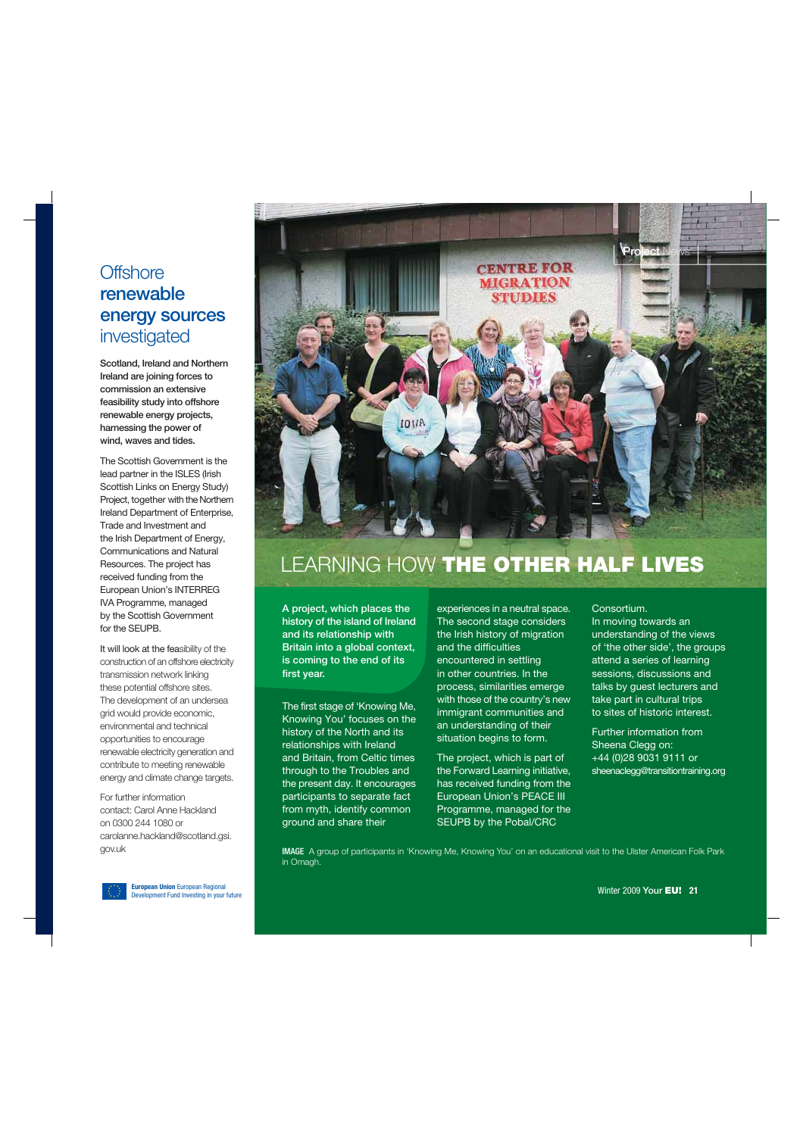#### **Offshore** renewable energy sources investigated

Scotland, Ireland and Northern Ireland are joining forces to commission an extensive feasibility study into offshore renewable energy projects, harnessing the power of wind, waves and tides.

The Scottish Government is the lead partner in the ISLES (Irish Scottish Links on Energy Study) Project, together with the Northern Ireland Department of Enterprise, Trade and Investment and the Irish Department of Energy, Communications and Natural Resources. The project has received funding from the European Union's INTERREG IVA Programme, managed by the Scottish Government for the SEUPB.

It will look at the feasibility of the construction of an offshore electricity transmission network linking these potential offshore sites. The development of an undersea grid would provide economic, environmental and technical opportunities to encourage renewable electricity generation and contribute to meeting renewable energy and climate change targets.

For further information contact: Carol Anne Hackland on 0300 244 1080 or carolanne.hackland@scotland.gsi. gov.uk



### LEARNING HOW **THE OTHER HALF LIVES**

A project, which places the history of the island of Ireland and its relationship with Britain into a global context. is coming to the end of its first year.

The first stage of 'Knowing Me, Knowing You' focuses on the history of the North and its relationships with Ireland and Britain, from Celtic times through to the Troubles and the present day. It encourages participants to separate fact from myth, identify common ground and share their

experiences in a neutral space. The second stage considers the Irish history of migration and the difficulties encountered in settling in other countries. In the process, similarities emerge with those of the country's new immigrant communities and an understanding of their situation begins to form.

The project, which is part of the Forward Learning initiative, has received funding from the European Union's PEACE III Programme, managed for the SEUPB by the Pobal/CRC

#### Consortium.

In moving towards an understanding of the views of 'the other side', the groups attend a series of learning sessions, discussions and talks by guest lecturers and take part in cultural trips to sites of historic interest.

Further information from Sheena Clegg on: +44 (0)28 9031 9111 or sheenaclegg@transitiontraining.org

**IMAGE** A group of participants in 'Knowing Me, Knowing You' on an educational visit to the Ulster American Folk Park in Omagh.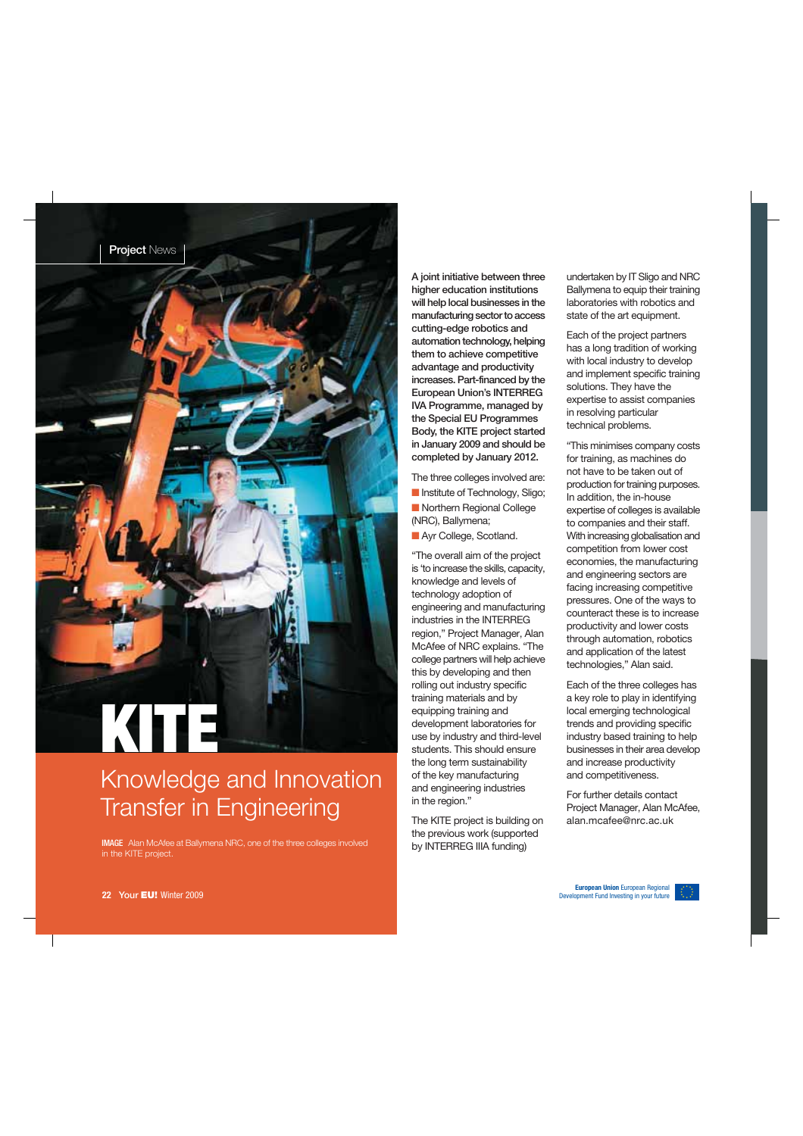

### Knowledge and Innovation Transfer in Engineering

**IMAGE** Alan McAfee at Ballymena NRC, one of the three colleges involved in the KITE project.

A joint initiative between three higher education institutions will help local businesses in the manufacturing sector to access cutting-edge robotics and automation technology, helping them to achieve competitive advantage and productivity increases. Part-financed by the European Union's INTERREG IVA Programme, managed by the Special EU Programmes Body, the KITE project started in January 2009 and should be completed by January 2012.

The three colleges involved are: ■ Institute of Technology, Sligo: ■ Northern Regional College (NRC), Ballymena;

■ Ayr College, Scotland.

"The overall aim of the project is 'to increase the skills, capacity, knowledge and levels of technology adoption of engineering and manufacturing industries in the INTERREG region," Project Manager, Alan McAfee of NRC explains. "The college partners will help achieve this by developing and then rolling out industry specific training materials and by equipping training and development laboratories for use by industry and third-level students. This should ensure the long term sustainability of the key manufacturing and engineering industries in the region."

The KITE project is building on the previous work (supported by INTERREG IIIA funding)

undertaken by IT Sligo and NRC Ballymena to equip their training laboratories with robotics and state of the art equipment.

Each of the project partners has a long tradition of working with local industry to develop and implement specific training solutions. They have the expertise to assist companies in resolving particular technical problems.

"This minimises company costs for training, as machines do not have to be taken out of production for training purposes. In addition, the in-house expertise of colleges is available to companies and their staff. With increasing globalisation and competition from lower cost economies, the manufacturing and engineering sectors are facing increasing competitive pressures. One of the ways to counteract these is to increase productivity and lower costs through automation, robotics and application of the latest technologies," Alan said.

Each of the three colleges has a key role to play in identifying local emerging technological trends and providing specific industry based training to help businesses in their area develop and increase productivity and competitiveness.

For further details contact Project Manager, Alan McAfee, alan.mcafee@nrc.ac.uk